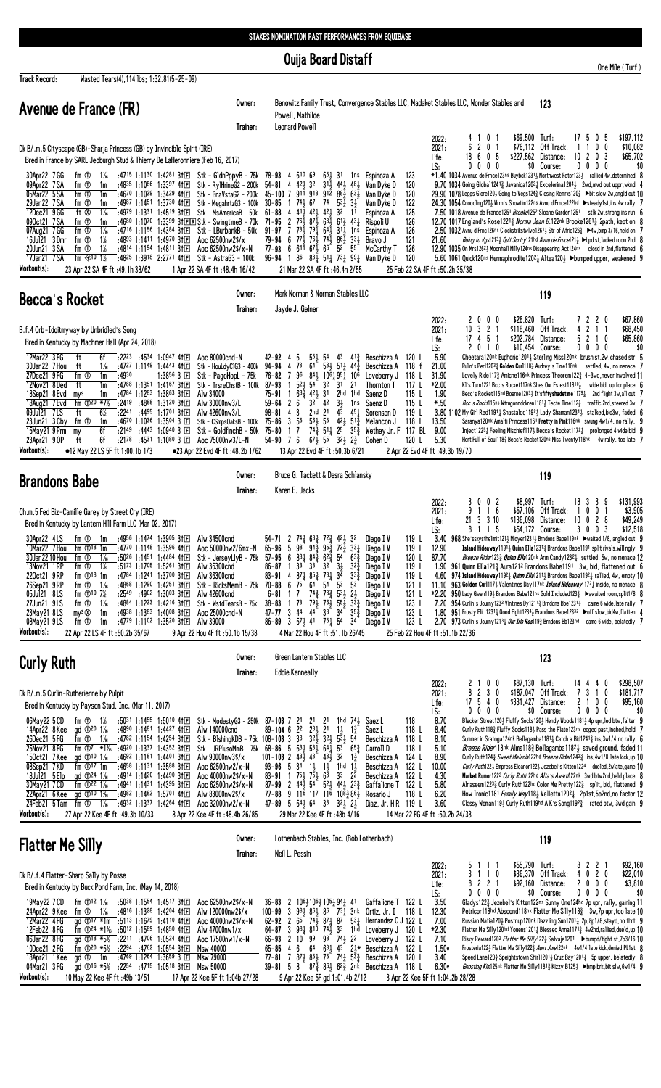## STAKES NOMINATION PAST PERFORMANCES FROM EQUIBASE

Ouija Board Distaff

|                                                                                                                                                                                                                                                                                                                                                                                                                                                                                                                                                                                                                                                                                                                                                                                                                                                                                                                         |                                                                                                                                                                                                                                                                                                                                                                                                                                                        | <u>vulja board Distaff</u>                                                                                                                                                                                                                                                                                                                                                                                                                                                                                                                                                                                                                                                                                                                                                                                                                                                                                                                                                                                                                 |                                                                                                                                                                                                                                                                                                                                                                                                                                                                                                                                                                                                                                                                                                                                                                                                                                                                                                                                                                                                                             | One Mile (Turf)                                                                                                                                                                                                                                                                                                                                                                                                                                                                                                                                                                                                                                                                                                                                                                                                                                                                                                                                                                                                                                                                                                                          |
|-------------------------------------------------------------------------------------------------------------------------------------------------------------------------------------------------------------------------------------------------------------------------------------------------------------------------------------------------------------------------------------------------------------------------------------------------------------------------------------------------------------------------------------------------------------------------------------------------------------------------------------------------------------------------------------------------------------------------------------------------------------------------------------------------------------------------------------------------------------------------------------------------------------------------|--------------------------------------------------------------------------------------------------------------------------------------------------------------------------------------------------------------------------------------------------------------------------------------------------------------------------------------------------------------------------------------------------------------------------------------------------------|--------------------------------------------------------------------------------------------------------------------------------------------------------------------------------------------------------------------------------------------------------------------------------------------------------------------------------------------------------------------------------------------------------------------------------------------------------------------------------------------------------------------------------------------------------------------------------------------------------------------------------------------------------------------------------------------------------------------------------------------------------------------------------------------------------------------------------------------------------------------------------------------------------------------------------------------------------------------------------------------------------------------------------------------|-----------------------------------------------------------------------------------------------------------------------------------------------------------------------------------------------------------------------------------------------------------------------------------------------------------------------------------------------------------------------------------------------------------------------------------------------------------------------------------------------------------------------------------------------------------------------------------------------------------------------------------------------------------------------------------------------------------------------------------------------------------------------------------------------------------------------------------------------------------------------------------------------------------------------------------------------------------------------------------------------------------------------------|------------------------------------------------------------------------------------------------------------------------------------------------------------------------------------------------------------------------------------------------------------------------------------------------------------------------------------------------------------------------------------------------------------------------------------------------------------------------------------------------------------------------------------------------------------------------------------------------------------------------------------------------------------------------------------------------------------------------------------------------------------------------------------------------------------------------------------------------------------------------------------------------------------------------------------------------------------------------------------------------------------------------------------------------------------------------------------------------------------------------------------------|
| <b>Track Record:</b><br>Wasted Tears(4), 114 lbs; 1:32.81(5-25-09)                                                                                                                                                                                                                                                                                                                                                                                                                                                                                                                                                                                                                                                                                                                                                                                                                                                      |                                                                                                                                                                                                                                                                                                                                                                                                                                                        |                                                                                                                                                                                                                                                                                                                                                                                                                                                                                                                                                                                                                                                                                                                                                                                                                                                                                                                                                                                                                                            |                                                                                                                                                                                                                                                                                                                                                                                                                                                                                                                                                                                                                                                                                                                                                                                                                                                                                                                                                                                                                             |                                                                                                                                                                                                                                                                                                                                                                                                                                                                                                                                                                                                                                                                                                                                                                                                                                                                                                                                                                                                                                                                                                                                          |
| Avenue de France (FR)                                                                                                                                                                                                                                                                                                                                                                                                                                                                                                                                                                                                                                                                                                                                                                                                                                                                                                   | Owner:<br>Trainer:                                                                                                                                                                                                                                                                                                                                                                                                                                     | Powell, Mathilde<br><b>Leonard Powell</b>                                                                                                                                                                                                                                                                                                                                                                                                                                                                                                                                                                                                                                                                                                                                                                                                                                                                                                                                                                                                  | Benowitz Family Trust, Convergence Stables LLC, Madaket Stables LLC, Wonder Stables and<br>123                                                                                                                                                                                                                                                                                                                                                                                                                                                                                                                                                                                                                                                                                                                                                                                                                                                                                                                              |                                                                                                                                                                                                                                                                                                                                                                                                                                                                                                                                                                                                                                                                                                                                                                                                                                                                                                                                                                                                                                                                                                                                          |
| Dk B/.m.5 Cityscape (GB)-Sharja Princess (GB) by Invincible Spirit (IRE)<br>Bred in France by SARL Jedburgh Stud & Thierry De LaHeronniere (Feb 16, 2017)                                                                                                                                                                                                                                                                                                                                                                                                                                                                                                                                                                                                                                                                                                                                                               |                                                                                                                                                                                                                                                                                                                                                                                                                                                        |                                                                                                                                                                                                                                                                                                                                                                                                                                                                                                                                                                                                                                                                                                                                                                                                                                                                                                                                                                                                                                            | \$69,500 Turf:<br>2022:<br>0 <sub>1</sub><br>$\mathbf{1}$<br>2 <sub>0</sub><br>\$76,112 Off Track:<br>6<br>2021:<br>-1<br>0 <sub>5</sub><br>18 6<br>\$227,562 Distance:<br>Life:                                                                                                                                                                                                                                                                                                                                                                                                                                                                                                                                                                                                                                                                                                                                                                                                                                            | \$197,112<br>175<br>05<br>0<br>0<br>\$10,082<br>-1<br>$10$ 2 0 3<br>\$65,702                                                                                                                                                                                                                                                                                                                                                                                                                                                                                                                                                                                                                                                                                                                                                                                                                                                                                                                                                                                                                                                             |
| 30Apr22 7GG<br>fm ①<br>$1\%$<br>09Apr22 7 SA<br>fm ①<br>1m<br>05Mar22 5 SA<br>$fm$ $\circled{r}$<br>:4670 1:1029 1:3429 41 $\mathbb{E}$<br>1m<br>29Jan22 7 SA<br>fm ①<br>:4987 1:1451 1:3730 41日<br>1m<br>12Dec21 9 GG<br>ft Ø<br>$1\%$<br>$:4979$ 1:1331 1:4519 31 $E$<br>090ct21 7 SA<br>fm ①<br>1m<br>$1\%$<br>07Aug21 7 GG<br>fm ①<br>:4716 1:1156 1:4384 31 $E$<br>16Jul21 3Dmr<br>fm ①<br>1%<br>:4893 1:1411 1:4970 31 $E$<br>fm <sup>①</sup><br>$1\%$<br>20Jun21 3 SA<br>:4814 1:1194 1:4811 311<br>fm $\Leftrightarrow$ 10 1½<br>:48 <sup>25</sup> 1:3918 2:2771 41E<br>17Jan21 7 SA<br>Workout(s):<br>23 Apr 22 SA 4F ft : 49.1h 38/62                                                                                                                                                                                                                                                                         | :47 <sup>15</sup> 1:11 <sup>30</sup> 1:42 <sup>81</sup> 31 El Stk - GldnPppy B - 75k 78-93 4<br>$:48^{35}$ 1:1086 1:3397 41 $E$ Stk - RylHrineG2 - 200k 54-81 4 423 32<br>Stk - BnaVstaG2 - 200k<br>Stk - MegahrtzG $3 - 100k$ $30 - 85$<br>Stk - MsAmericaB - 50k<br>:4680 1:1070 1:3399 31 E R Stk - Swingtime B - 70k<br>Stk - LBurbankB - 50k<br>Aoc 62500nw2\$/x<br>Aoc 62500nw2\$/x-N<br>Stk - AstraG3 - 100k<br>1 Apr 22 SA 4F ft : 48.4h 16/42 | 610 69<br>651 31<br>1 <sup>ns</sup> Espinoza A<br>311, 441, 481<br>Van Dyke D<br>45-100 7 911 918 912 883 633<br>Van Dyke D<br>$1 \t74\frac{1}{2} \t67$<br>74<br>531<br>$3\frac{1}{2}$<br>Van Dyke D<br>411, 421, 421<br>11<br>61-88<br>32<br>4<br>Espinoza A<br>$2\;\; 76\frac{1}{2}\;\; 87\frac{1}{2}\;\; 63\frac{1}{2}\;\; 61\frac{3}{4}\;\; 43\frac{1}{4}$<br>71-95<br>Rispoli U<br>$78\frac{1}{2}$ $79\frac{1}{4}$ $64\frac{1}{2}$ $31\frac{1}{2}$ 1 ns<br>$91 - 97$ 7<br>Espinoza A<br>79-94 6 77 $\frac{1}{2}$ 76 $\frac{1}{2}$ 74 $\frac{1}{2}$<br>861<br>334<br>Bravo J<br>77-93 6 611 67 $\frac{1}{2}$ 6 <sup>6</sup> 5 <sup>2</sup> 5 <sup>5</sup><br>McCarthy T<br>96-94 1 8 <sup>6</sup> 8 <sup>3</sup> / <sub>4</sub> 5 <sup>1</sup> / <sub>4</sub> 7 <sup>3</sup> / <sub>4</sub> 9 <sup>9</sup> / <sub>4</sub> Van Dyke D<br>21 Mar 22 SA 4F ft:46.4h 2/55                                                                                                                                                                  | $0\,0\,0\,0$<br>\$0 Course:<br>LS:<br>*1.40 1034 Avenue de Frnce123ns Buybck1231; Northwest Fctor123; rallied 4w, determined 8<br>123<br>9.70 1034 Going Global12413 Javanica12021 Excelerina12041 2wd, mvd out uppr, wknd 4<br>120<br>29.90 1078 Leggs Glore120½ Going to Vegs124½ Closing Remrks120½ ▶bit slow,2w,ang1d out 10<br>120<br>122<br>24.30 1054 Cnoodling120½ Wrrn's Showtim122ns Avnu d Frnce122hd ▶steady1st,ins,4w rally 7<br>125<br>7.50 1018 Avenue de France1251 Brooke1252 Sloane Garden1251 stlk 2w, strong ins run 6<br>126<br>12.70 1017 England's Rose1221 $\frac{3}{4}$ Norma Jean B.122nk Brooke1261 $\frac{1}{4}$ 2path, kept on 8<br>126<br>2.50 1032 Avnu d Frnc126ns Clockstrikstw1ve1261½ Str of Afric126½ ▶4w,bmp 3/16,held on 7<br>121<br>21.60<br>12.90 1035 On Mrs126 <sup>2</sup> > Moonhall Milly124ns Disappearing Act124ns closd in 2nd, flattened 6<br>126<br>120<br>5.60 1061 Quick120ns Hermaphrodite12021 Altea1201 >bumped upper, weakened 9<br>25 Feb 22 SA 4F ft :50.2h 35/38 | $0\,0\,0\,0$<br>\$0<br>Going to Vgs12133 Quit Scrtry121hd Avnu de Frnce1213 blopd st, lacked room 2nd 8                                                                                                                                                                                                                                                                                                                                                                                                                                                                                                                                                                                                                                                                                                                                                                                                                                                                                                                                                                                                                                  |
| <b>Becca's Rocket</b>                                                                                                                                                                                                                                                                                                                                                                                                                                                                                                                                                                                                                                                                                                                                                                                                                                                                                                   | Owner:                                                                                                                                                                                                                                                                                                                                                                                                                                                 | Mark Norman & Norman Stables LLC                                                                                                                                                                                                                                                                                                                                                                                                                                                                                                                                                                                                                                                                                                                                                                                                                                                                                                                                                                                                           | 119                                                                                                                                                                                                                                                                                                                                                                                                                                                                                                                                                                                                                                                                                                                                                                                                                                                                                                                                                                                                                         |                                                                                                                                                                                                                                                                                                                                                                                                                                                                                                                                                                                                                                                                                                                                                                                                                                                                                                                                                                                                                                                                                                                                          |
| B.f.4 Orb-Idoitmyway by Unbridled's Song<br>Bred in Kentucky by Machmer Hall (Apr 24, 2018)<br>12Mar22 3 FG<br>ft<br>:22 <sup>23</sup> :45 <sup>34</sup> 1:09 <sup>47</sup> 411回<br>6f<br>30Jan22 7 Hou<br>ft<br>$1\%$<br>:4727 1:1149 1:4443 411日<br>:4930<br>27Dec21 9FG<br>fm ①<br>1m<br>12Nov21 8Ded<br>ft<br>:4788 1:1351 1:4167 3†国<br>1m<br>18Sep21 8 Evd<br>:4784 1:1283 1:3863 3111<br>mys<br>1m<br>fm $\Phi^{20}$ *7%<br>$:24^{19}$ $:48^{88}$ 1:31 <sup>20</sup> 31E<br>18Aug21 7 Evd<br>:2241 :4495 1:1701 311<br>09Jul21 7LS<br>ft<br>$6\%$<br>23Jun21 3 Cby<br>fm ①<br>:4670 1:1036 1:3504 3 $\Box$<br>1m<br>:2149 :4443 1:0940 3 $\Box$<br>6f<br>15May21 9 Prm<br>my<br>23Apr21 9 OP<br>ft<br>6f<br>$:21^{78}$ $:45^{31}$ 1:1080 3 E<br>Workout(s):<br>•12 May 22 LS 5F ft 1:00.1b 1/3                                                                                                                   | Trainer:<br>Aoc 80000cnd-N<br>Stk - HouLdyClG3 - 400k 94-94<br>Stk - PagoHopL - 75k<br>$1:38^{56}3$ E<br>Stk - TrsreChstB - 100k<br>Alw 34000<br>Alw 30000nw3/L<br>Alw 42600nw3/L<br>Stk - CSmpsOaksB - 100k<br>Stk - GoldfinchB - 50k<br>Aoc 75000nw3/L-N<br>●23 Apr 22 Evd 4F ft :48.2b 1/62                                                                                                                                                         | Jayde J. Gelner<br>$55\frac{1}{2}$<br>54<br>$4^3$ $4^{13}$<br>Beschizza A<br>$42 - 92 = 4$<br>5<br>7 <sup>3</sup><br>64<br>$53\frac{1}{2}$ 51 $\frac{1}{2}$ 44 $\frac{3}{2}$<br>4<br>Beschizza A<br>$84\frac{1}{2}$ $10\overline{6}$ $\frac{1}{4}$ $95\frac{1}{4}$ $10\overline{6}$<br>96<br>76-82<br>7<br>Loveberry J<br>52 <sub>3</sub><br>$54^{7}$ 32<br>$87 - 93$<br>3 <sup>1</sup><br>21<br><b>Thornton T</b><br>-1<br>$63\frac{5}{4}$ 42 <sub>2</sub> 31<br>2hd 1hd<br>Saenz D<br>75-91<br>-1<br>$3^{2}$ 42<br>$3\frac{1}{2}$<br>$59 - 64$ 2 6<br>1ns<br>Saenz D<br>$4^{\frac{1}{3}}$ $4^{\frac{1}{2}}$<br>2hd 21<br>$98 - 81$ 4<br>Sorenson D<br>3<br>5 <sup>5</sup><br>$56\frac{1}{2}$<br>75-86<br>55<br>$42\frac{1}{2}$ 51 $\frac{3}{4}$<br>Melancon J<br>-3<br>$74\frac{5}{4}$ 51 $25$ $35\frac{3}{4}$<br>1 <sub>7</sub><br>$75 - 80$<br>$54 - 90$ 7 6<br>$67\frac{1}{2}$ 55 $32\frac{1}{2}$ $2\frac{3}{4}$<br>Cohen D<br>13 Apr 22 Evd 4F ft :50.3b 6/21                                                                        | \$26,820 Turf:<br>0 <sub>0</sub><br>2022:<br>20<br>3 <sub>2</sub><br>\$118,460 Off Track:<br>2021:<br>10<br>-1<br>\$202,784 Distance:<br>17 4 5 1<br>Life:<br>\$10,454 Course:<br>2 0 1 0<br>LS:<br>5.90<br>120 L<br>118 f<br>21.00<br>31.90<br>118 L<br>117 L<br>*2.00<br>KI's Turn1221 Bcc's Rocket117nk Shes Our Fstest11810}<br>115 L<br>1.90<br>115L<br>$*.50$<br>119 L<br>3.80 1102 My Girl Red11911 Shastaloo11921 Lady Shaman12311 stalked, bid3w, faded 6<br>118 L<br>13.50<br>Wethey Jr. F 117 BL<br>9.00<br>120 L<br>5.30<br>2 Apr 22 Evd 4F ft: 49.3b 19/70                                                                                                                                                                                                                                                                                                                                                                                                                                                     | \$67,860<br>20<br>72<br>4 2 1 1<br>\$68,450<br>\$65,860<br>5 2 1 0<br>0 0 0 0<br>\$0<br>Cheetara120nk Euphoric12011 Sterling Miss120nk brush st, 2w, chased str 5<br>Pulin's Perl12033 Golden Curl1183 Audrey's Time118nk settled, 4w, no menace 7<br>Lovely Ride1173 Amiche116nk Princess Theorem1223 4-3wd, never involved 11<br>wide bid, up for place $6$<br>Becc's Rocket115hd Boerne12031 It's fifty shade time 11791 2nd flight 3w, all out 7<br>Bcc's Rockt115ns Wtrugonndokren11811 Tecte Time1121 traffic 2nd, steered 3w 7<br>Saranya120nk Amalfi Princess1161 Pretty in Pink116nk swung 4w1/4, no rally, 9<br>Inject1225 $\frac{1}{4}$ Feeling Mischief117 $\frac{1}{2}$ Becca's Rocket1172 $\frac{1}{4}$ prolonged 4 wide bid 9<br>Hert Full of Soul1183 Becc's Rocket120ns Miss Twenty118nk 4w rally, too late 7                                                                                                                                                                                                                                                                                                           |
| <b>Brandons Babe</b>                                                                                                                                                                                                                                                                                                                                                                                                                                                                                                                                                                                                                                                                                                                                                                                                                                                                                                    | Owner:<br>Trainer:                                                                                                                                                                                                                                                                                                                                                                                                                                     | Bruce G. Tackett & Desra Schlansky<br>Karen E. Jacks                                                                                                                                                                                                                                                                                                                                                                                                                                                                                                                                                                                                                                                                                                                                                                                                                                                                                                                                                                                       | 119                                                                                                                                                                                                                                                                                                                                                                                                                                                                                                                                                                                                                                                                                                                                                                                                                                                                                                                                                                                                                         |                                                                                                                                                                                                                                                                                                                                                                                                                                                                                                                                                                                                                                                                                                                                                                                                                                                                                                                                                                                                                                                                                                                                          |
| Ch.m.5 Fed Biz-Camille Garey by Street Cry (IRE)<br>Bred in Kentucky by Lantern Hill Farm LLC (Mar 02, 2017)<br>:4956 1:1474 1:3905 311回<br>30Apr22 4LS<br>fm ① 1m<br>10Mar22 7 Hou<br>:4770 1:1148 1:3596 41回<br>fm $\mathbb{O}^{18}$ 1m<br>30Jan22 10 Hou<br>:5026 1:1451 1:4484 411回<br>fm ①<br>$1\%$<br>fm <sup>①</sup><br>13Nov21 1RP<br>- 1%<br>:5173 1:1705 1:5261 31日                                                                                                                                                                                                                                                                                                                                                                                                                                                                                                                                           | Alw 34500cnd<br>Aoc 50000nw2/6mx-N<br>Stk - JerseyLlyB - 75k<br>Alw 36300cnd                                                                                                                                                                                                                                                                                                                                                                           | 54-71 2 74 $\frac{3}{4}$ 6 <sup>3</sup> $\frac{3}{4}$ 7 <sup>2</sup> $\frac{3}{4}$ 4 <sup>2</sup> $\frac{1}{2}$ 3 <sup>2</sup><br>Diego I V<br>$72\frac{3}{4}$<br>$65 - 96$<br>5<br>98<br>$94\frac{3}{4}$ $95\frac{3}{4}$<br>$33\frac{1}{4}$<br>Diego I V<br>$6^{2}\frac{3}{4}$<br>54<br>$83\frac{1}{4}$<br>$84\frac{3}{4}$<br>$63\frac{3}{7}$<br>$57 - 95$<br>6<br>Diego I V<br>3 <sup>3</sup><br>3 <sup>2</sup><br>$3\frac{1}{2}$<br>$86 - 87$<br>3 <sup>3</sup><br>$32\frac{3}{7}$<br>Diego I V                                                                                                                                                                                                                                                                                                                                                                                                                                                                                                                                         | \$8,997 Turf:<br>0 <sub>2</sub><br>2022:<br>$\mathbf 0$<br>3<br>11<br>\$67,106 Off Track:<br>2021:<br>9<br>6<br>21<br>3 3 10<br>\$136,098<br>Life:<br>5<br>\$54,172 Course:<br>11<br>LS:<br>8<br>119 L<br>3.40 968 She'sskysthelimit1211 Midyer12311 Brndons Babe119nk >waited 1/8, angled out 9<br>119 L<br>12.90<br>120 L<br>87.70<br>119 L<br>1.90 $961$ Quinn Ella121 $\frac{3}{4}$ Aura121 <sup>2</sup> Brandons Babe1191 3w, bid, flattened out 6                                                                                                                                                                                                                                                                                                                                                                                                                                                                                                                                                                     | \$131,993<br>18 3<br>39<br>\$3,905<br>$\overline{1}$<br>001<br>$10 \t0 \t2 \t8$<br>\$49,249<br>Distance:<br>3 0 0 3<br>\$12,518<br>Island Hideaway1191 $\frac{1}{2}$ Quinn Ella1231 $\frac{3}{4}$ Brandons Babe1191 split rivals, willingly 9<br><i>Breeze Rider</i> 123 <sub>4</sub> <i>Quinn Ella</i> 120 <sup>nk</sup> Arm Candy 123 <sup>2</sup> <sub>4</sub> settled, 5w, no menace 12                                                                                                                                                                                                                                                                                                                                                                                                                                                                                                                                                                                                                                                                                                                                              |
| fm $\mathbb{O}^{18}$ 1m<br>220ct21 9RP<br>:4784 1:1241 1:3700 3†国<br>fm ①<br>:4868 1:1290 1:4251 31回<br>26Sep21 9RP<br>$1\%$<br>fm $\Phi$ <sup>10</sup> 7 <sup>%</sup><br>05Jul21 8LS<br>$:25^{49}$ $:49^{02}$ 1:3003 3†E<br>:4884 1:1223 1:4216 3111<br>27Jun21 9LS<br>fm ①<br>1‰<br>:4938 1:1383 1:4008 3†E<br>23May21 8LS<br>mys ®<br>1m<br>:4779 1:1102 1:3520 3111<br>fm ①<br>08May21 9LS<br>1m<br>Workout(s):<br>22 Apr 22 LS 4F ft: 50.2b 35/67                                                                                                                                                                                                                                                                                                                                                                                                                                                                  | Alw 36300cnd<br>Stk - RicksMemB - $75k$ $70-88$<br>Alw 42600cnd<br>Stk - WstdTearsB - 75k<br>Aoc 25000cnd-N<br>Alw 39000<br>9 Apr 22 Hou 4F ft :50.1b 15/38                                                                                                                                                                                                                                                                                            | $87\frac{1}{4}$ $85\frac{3}{4}$ $73\frac{1}{4}$<br>3 <sup>4</sup><br>$33\frac{3}{7}$<br>Diego I V<br>$83 - 91$<br>4<br>75<br>5 <sup>3</sup><br>64<br>54<br>53<br>6<br>Diego I V<br>$74\frac{3}{4}$ $73\frac{3}{4}$ $53\frac{1}{2}$ $2\frac{1}{2}$<br>$79\frac{1}{2}$ $76\frac{1}{2}$ $55\frac{1}{2}$ $33\frac{3}{4}$<br>6-81<br>7<br>Diego I V<br>$55\frac{1}{2}$<br>$79\frac{1}{2}$<br>$76\frac{1}{2}$<br>$38 - 83$<br>78<br>Diego I V<br>$33^{2}$ $34^{2}$<br>$\mathbf{3}$<br>44 44<br>47-77<br>$35\frac{3}{7}$<br>Diego I V<br>86-89 3 57 $\frac{1}{2}$ 41 75 $\frac{1}{4}$ 54<br>34<br>Diego I V<br>4 Mar 22 Hou 4F ft: 51.1b 26/45                                                                                                                                                                                                                                                                                                                                                                                                    | 119 L<br>4.60<br>121 L<br>11.10<br>121 L<br>*2.20<br>123 L<br>7.20<br>123 L<br>1.80 951 Frosty Flirt12311 Good Fight12341 Brandons Babe12332 ▶off slow, bid4w, flatten 4<br>123 L<br>2.70 973 Curlin's Journy 1213 1 Our Iris Rost 19 3 Brndons Bb123hd came 6 wide, belatedly 7<br>25 Feb 22 Hou 4F ft :51.1b 22/36                                                                                                                                                                                                                                                                                                                                                                                                                                                                                                                                                                                                                                                                                                        | 974 Island Hideaway1192 $\frac{1}{4}$ <i>Quinn Ella</i> 1211 <sup>1</sup> $\frac{1}{2}$ Brandons Babe1192 $\frac{1}{4}$ rallied, 4w, empty 10<br>963 Golden Curl1173 Valentines Day117 <sup>nk</sup> <i>Island Hideaway</i> 117 <sup>2</sup> $\frac{1}{4}$ inside, no menace 8<br>950 Lady Gwen119½ Brandons Babe121ns Gold Included123 $\frac{3}{4}$ ► awaited room, split1/8 8<br>954 Curlin's Journy 1232 Vintines Dy 1211 <sup>3</sup> Brndons Bbe1231 <sup>1</sup> came 6 wide, late rally 7                                                                                                                                                                                                                                                                                                                                                                                                                                                                                                                                                                                                                                        |
| <b>Curly Ruth</b>                                                                                                                                                                                                                                                                                                                                                                                                                                                                                                                                                                                                                                                                                                                                                                                                                                                                                                       | Owner:<br>Trainer:                                                                                                                                                                                                                                                                                                                                                                                                                                     | Green Lantern Stables LLC<br><b>Eddie Kenneally</b>                                                                                                                                                                                                                                                                                                                                                                                                                                                                                                                                                                                                                                                                                                                                                                                                                                                                                                                                                                                        | 123                                                                                                                                                                                                                                                                                                                                                                                                                                                                                                                                                                                                                                                                                                                                                                                                                                                                                                                                                                                                                         |                                                                                                                                                                                                                                                                                                                                                                                                                                                                                                                                                                                                                                                                                                                                                                                                                                                                                                                                                                                                                                                                                                                                          |
| Dk B/.m.5 Curlin-Rutherienne by Pulpit<br>Bred in Kentucky by Payson Stud, Inc. (Mar 11, 2017)<br>06May22 5 CD<br>$:50^{31}$ 1:1455 1:5010 41E<br>fm $\overline{O}$ 1%<br>gd ①20 1‰<br>14Apr22 8 Kee<br>:4890 1:1481<br>26Dec21 5 FG<br>1‰<br>:4782 1:1154 1:4254 3111<br>fm ①<br>fm $\overline{0}$ <sup>7</sup> *1 <sup>%</sup> :49 <sup>20</sup> 1:13 <sup>37</sup> 1:43 <sup>52</sup> 31 $\overline{E}$<br>25Nov21 8 FG<br>150ct21 7Kee<br>gd 10 1%<br>:4692 1:1181 1:4401 3†E<br>08Sep21 7KD<br>fm $\mathbb{O}^{17}$ 1m<br>:4658 1:1131 1:3588 3†国<br>18Jul21 5 Elp<br>ad $\Phi^{24}$ 1 <sup>%</sup><br>:4914 1:1420 1:4490 3†E<br>30May21 7 CD<br>fm $\Phi$ <sup>22</sup> 1 <sup>%</sup><br>:4941 1:1431 1:4395 3†国<br>22Apr21 6 Kee<br>ad $\Phi^{10}$ 1%<br>:4982 1:1482 1:5701 41 $E$<br>24Feb21 5 Tam<br>$1\%$<br>:4932 1:1337 1:4264 41 $\mathbb E$<br>fm ①<br>Workout(s):<br>27 Apr 22 Kee 4F ft: 49.3b 10/33 | Stk - Modesty G3 - 250k 87-103 7 21 21<br>1:4427 411日<br>Alw 140000cnd<br>Stk - Blshing KDB - 75k 108-103 3<br>Stk - JRPlusoMmB - 75k 68-86 5<br>Alw 90000nw3\$/x<br>Aoc 62500nw2/x-N<br>Aoc 40000nw2\$/x-N<br>Aoc 62500nw2\$/x-N<br>Alw 83000nw2\$/x<br>Aoc 32000nw2/x-N<br>8 Apr 22 Kee 4F ft :48.4b 26/85                                                                                                                                           | 2 <sup>1</sup><br>1hd $74\frac{1}{2}$<br>Saez L<br>89-104 6 22<br>108-103 3 33<br>$231$ $21$<br>$32\frac{1}{2}$ $32\frac{1}{2}$<br>$1\frac{1}{2}$<br>$1\frac{3}{4}$<br>Saez L<br>5 <sup>7</sup><br>$5^{3}$<br>Beschizza A<br>$53\frac{1}{2}$ $53\frac{1}{2}$ $64\frac{1}{4}$ $53$ $65\frac{3}{4}$<br>Carroll D<br>$101 - 103$ 2 $43\frac{1}{2}$ $43\frac{1}{2}$<br>$43\frac{1}{2}$<br>32<br>$1\frac{3}{4}$<br>Beschizza A<br>$93 - 96$ 5 $31$<br>$1\frac{1}{2}$<br>$1\frac{1}{2}$<br>1hd<br>$1\frac{1}{2}$<br>Beschizza A<br>$75\frac{1}{2}$ $75\frac{1}{2}$<br>3 <sup>3</sup><br>$2\overline{2}$<br>63<br>83-91<br>$\overline{1}$<br>Beschizza A<br>$2\;\; 44\bar{3}\;\; 54\;\; 52\bar{3}\;\; 44\bar{3}\;\; 23\bar{3}$<br>87-99<br>Gaffalione T<br>$\frac{1}{9}$ 11 <sup>6</sup> 117 11 <sup>6</sup> 10 <sup>83</sup> / <sub>4</sub> 86 <sup>1</sup> / <sub>2</sub><br>77-88<br>Rosario J<br>$47 - 89$ 5 $64\frac{1}{2}$ 64<br>3 <sup>3</sup><br>$3^2\frac{1}{2}$ $2^1\frac{1}{2}$<br>Diaz, Jr. HR 119 L<br>29 Mar 22 Kee 4F ft: 48b 4/16 | 0 <sub>0</sub><br>\$87,130 Turf:<br>2022:<br>2<br>3<br>$\mathbf{2}$<br>\$187,047<br>2021:<br>0<br>17, 5, 4, 0<br>\$331,427<br>Life:<br>0<br>\$0 Course:<br>LS:<br>$0\quad 0$<br>0<br>118<br>8.70<br>118 L<br>8.40<br>118 L<br>8.10<br>118 L<br>5.10<br>124 L<br>8.90<br>122 L<br>10.00<br>4.30<br>122 L<br>122 L<br>5.80<br>118 L<br>6.20<br>3.60<br>14 Mar 22 FG 4F ft : 50.2b 24/33                                                                                                                                                                                                                                                                                                                                                                                                                                                                                                                                                                                                                                       | \$298,507<br>144<br>4<br>0<br>Off Track:<br>3<br>0<br>\$181,717<br>7<br>$\overline{1}$<br>Distance:<br>0 <sub>0</sub><br>\$95,160<br>21<br>$0\,0\,0\,0$<br>\$0<br>Blecker Street120} Fluffy Socks120} Hendy Woods1181} 4p upr, led btw, falter 9<br>Curly Ruth118} Fluffy Socks118} Pass the Plate123ns edged past, inched, held 7<br>Summer in Sratoga124nk Bellagamba11811 Catch a Bid1241 <sup>3</sup> ins, 3w1/4, no rally 6<br><i>Breeze Rider</i> 118 <sup>nk</sup> Alms118 <sup>3</sup> <sub>4</sub> Bellagamba118 <sup>2</sup> saved ground, faded 11<br>Curly Ruth124 $\frac{3}{4}$ Sweet Melania122hd Breeze Rider1242 $\frac{3}{4}$ ins, 4w1/8, late kick, up 10<br><i>Curly Ruth</i> 122} Empress Eleanor122} Jezebel's Kitten1224 dueled, 2wlate, game 10<br>Market Rumor1222 <i>Curly Ruth</i> 122hd <i>Alta's Award</i> 122nk 3wd btw2nd, held place 8<br>Alnaseem1223 $\frac{3}{2}$ Curly Ruth122hd Color Me Pretty122 $\frac{3}{4}$ split, bid, flattened 9<br>How Ironic1181 <i>Family Way</i> 118} Valletta1202} 2p1st, 5p2nd, no factor 12<br>Classy Woman1193 Curly Ruth119hd A K's Song11923 rated btw, 3wd gain 9 |
| <b>Flatter Me Silly</b>                                                                                                                                                                                                                                                                                                                                                                                                                                                                                                                                                                                                                                                                                                                                                                                                                                                                                                 | Owner:                                                                                                                                                                                                                                                                                                                                                                                                                                                 | Lothenbach Stables, Inc. (Bob Lothenbach)                                                                                                                                                                                                                                                                                                                                                                                                                                                                                                                                                                                                                                                                                                                                                                                                                                                                                                                                                                                                  | 119                                                                                                                                                                                                                                                                                                                                                                                                                                                                                                                                                                                                                                                                                                                                                                                                                                                                                                                                                                                                                         |                                                                                                                                                                                                                                                                                                                                                                                                                                                                                                                                                                                                                                                                                                                                                                                                                                                                                                                                                                                                                                                                                                                                          |
| Dk B/.f.4 Flatter-Sharp Sally by Posse<br>Bred in Kentucky by Buck Pond Farm, Inc. (May 14, 2018)<br>19May 22 7 CD<br>fm $\Phi$ <sup>12</sup> 1 <sup>%</sup><br>:5038 1:1554 1:4517 3†匣<br>:4816 1:1328 1:4204 41E<br>24Apr22 9 Kee<br>$1\%$<br>fm ①<br>gd ①17 *1m :5113 1:1679 1:4110 41E                                                                                                                                                                                                                                                                                                                                                                                                                                                                                                                                                                                                                              | Trainer:<br>Aoc 62500nw2\$/x-N<br>Alw 120000nw2\$/x                                                                                                                                                                                                                                                                                                                                                                                                    | Neil L. Pessin<br>36-83 2 1061 1061 1051 941 41<br>Gaffalione T<br>3<br>981 861 86<br>731 3nk Ortiz, Jr. I<br>$100 - 99$<br>$65^{\degree}$ 74 $\frac{1}{2}$ 87 $\frac{1}{4}$ 87 <sup>*</sup>                                                                                                                                                                                                                                                                                                                                                                                                                                                                                                                                                                                                                                                                                                                                                                                                                                               | \$55,790 Turf:<br>2022:<br>5<br>111<br>\$36,370 Off Track:<br>2021:<br>3<br>$\overline{1}$<br>0<br>-1<br>8 2 2 1<br>\$92,160 Distance:<br>Life:<br>$0\ 0\ 0\ 0$<br>\$0 Course:<br>LS:<br>3.50<br>122 L<br>118 L<br>12.30                                                                                                                                                                                                                                                                                                                                                                                                                                                                                                                                                                                                                                                                                                                                                                                                    | \$92,160<br>8221<br>4 0 2 0<br>\$22,010<br>2000<br>\$3,810<br>$0\ 0\ 0\ 0$<br>\$0<br>Gladys1223 Jezebel's Kitten122ns Sunny One124hd 7p upr, rally, gaining 11<br>Petricor118hd Abscond118nk Flatter Me Silly1183 3w, 7p upr, too late 10                                                                                                                                                                                                                                                                                                                                                                                                                                                                                                                                                                                                                                                                                                                                                                                                                                                                                                |
| 12Mar22 4FG<br>12Feb22 8FG<br>fm $\mathbb{O}^{24}$ *1 <sup>%</sup> :50 <sup>12</sup> 1:1589 1:4850 41E<br>$\overline{1}:22^{11}$ :4706 1:0524 41 $\overline{E}$<br>06Jan22 8FG<br>ad $\bigcirc$ 18 *5½<br>10Dec21 2 FG<br>:2294 :4762 1:0554 3111<br>fm $\Phi^{20}$ *5%<br>18Apr21 1 Kee<br>1m<br>:4769 1:1264 1:3659 3 $\Box$<br>gd <sup>1</sup><br>04Mar21 3 FG<br>qd $\overline{0}$ <sup>16</sup> *5 <sup>1</sup> / <sub>2</sub> :22 <sup>54</sup> :47 <sup>15</sup> 1:05 <sup>18</sup> 31 E<br>Workout(s):<br>10 May 22 Kee 4F ft: 49b 13/51                                                                                                                                                                                                                                                                                                                                                                        | Aoc 40000nw2\$/x-N<br>Alw 47000nw1/x<br>Aoc 17500nw1/x-N<br><b>Msw 40000</b><br><b>Msw 79000</b><br>Msw 50000<br>17 Apr 22 Kee 5F ft 1:04b 27/28                                                                                                                                                                                                                                                                                                       | 531<br>$62 - 92$ 2<br>Hernandez C J 122 L<br>$\mathbf{3}$<br>$98\frac{1}{4}$ $81\overline{0}$ $74\frac{1}{2}$ $33$ 1hd<br>Loveberry J 120 L<br>64-87<br>99<br>98<br>$74\frac{1}{2}$<br>2 <sup>2</sup><br>10<br>66-93<br>$\mathbf{2}$<br>Loveberry J<br>631 43 21* Beschizza A<br>64<br>$65 - 85$<br>$6\overline{6}$<br>4<br>7 87 $\frac{1}{2}$ 85 $\frac{1}{2}$ 75 <sup>-</sup> 74 $\frac{1}{4}$ 5 $\frac{33}{4}$ Beschizza A<br>77-81<br>39-81 5 8 87 $\frac{3}{4}$ 861 62 $\frac{3}{4}$ 2nk Beschizza A 118 L<br>9 Apr 22 Kee 5F gd 1:01.4b 2/12                                                                                                                                                                                                                                                                                                                                                                                                                                                                                         | 7.00<br>$*2.30$<br>7.10<br>122 L<br>122 L<br>1.50e<br>120 L<br>3.40<br>6.30e<br>3 Apr 22 Kee 5F ft 1:04.2b 28/28                                                                                                                                                                                                                                                                                                                                                                                                                                                                                                                                                                                                                                                                                                                                                                                                                                                                                                            | Russian Mafia1201 Postnup120nk Dazzling Sun12011 2p, 8p1/8, stayd, no thrt 9<br>Flatter Me Silly120hd Youens12011 Blessed Anna11713 4w2nd, rallied, dueld, up 10<br>Risky Reward120 <sup>2</sup> Flatter Me Silly1221 Salvaje1201 > bumpd/tight st, 7p3/16 10<br>Frosteria122} Flatter Me Silly122} Aunt Joie122nk 4w1/4, late kick, denied, PL1st 8<br>Speed Lane120 $\frac{3}{4}$ Speightstown Shirl1201 $\frac{1}{4}$ Cruz Bay1201 $\frac{1}{4}$ 5p upper, belatedly 8<br>Ghosting Kim125nk Flatter Me Silly11813 Kizzy B1253 ▶bmp brk, bit slw, 6w1/4 9                                                                                                                                                                                                                                                                                                                                                                                                                                                                                                                                                                              |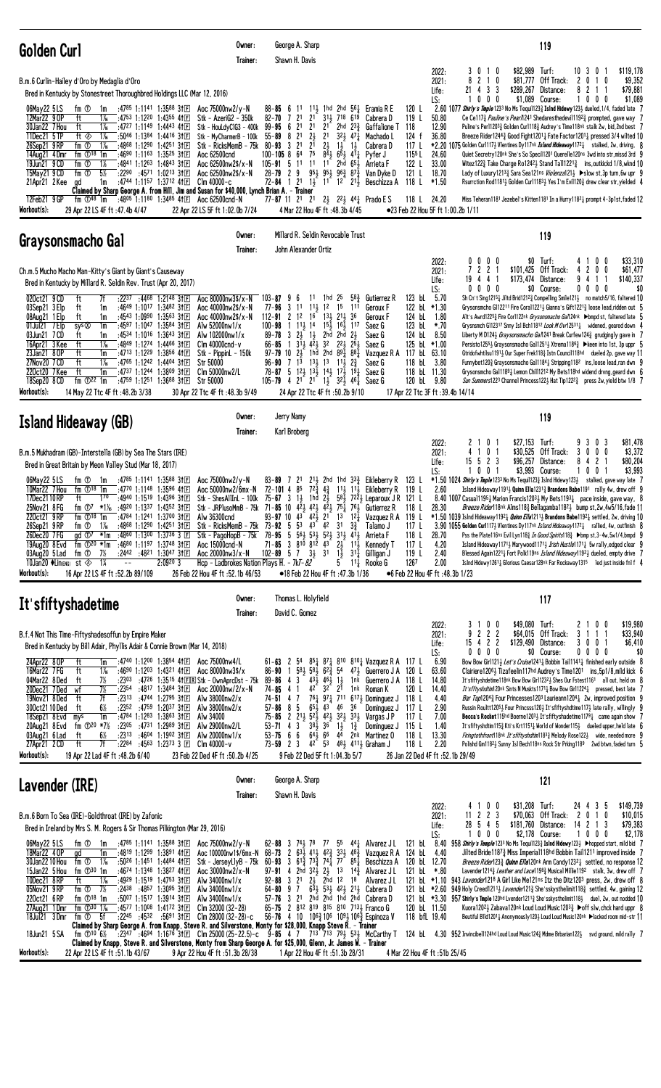| Golden Curl                                                                                                                                                                                                                                                                                                                                                                                                                                                                                                                                                                                                                                                                                                                                                                                                                                                                                                                                                                                                                                                                                                                         | Owner:<br>Trainer:                                                                                                                                                                                                                                                                 | George A. Sharp<br>Shawn H. Davis                                                                                                                                                                                                                                                                                                                                                                                                                                                                                                                                                                                                                                                                                                                 |                                                                                                                                                                                                                                                                                                                                                                                                                                                                                                                                                                                                                                     | 119                                                                                                                                                                                                                                                                                                                                                                                                                                                                                                                                                                                                                                                                                                                                                                                                                                                                                                                                                                                                                                                                                                                                                                                                                                                                                                                                                                                                                                     |
|-------------------------------------------------------------------------------------------------------------------------------------------------------------------------------------------------------------------------------------------------------------------------------------------------------------------------------------------------------------------------------------------------------------------------------------------------------------------------------------------------------------------------------------------------------------------------------------------------------------------------------------------------------------------------------------------------------------------------------------------------------------------------------------------------------------------------------------------------------------------------------------------------------------------------------------------------------------------------------------------------------------------------------------------------------------------------------------------------------------------------------------|------------------------------------------------------------------------------------------------------------------------------------------------------------------------------------------------------------------------------------------------------------------------------------|---------------------------------------------------------------------------------------------------------------------------------------------------------------------------------------------------------------------------------------------------------------------------------------------------------------------------------------------------------------------------------------------------------------------------------------------------------------------------------------------------------------------------------------------------------------------------------------------------------------------------------------------------------------------------------------------------------------------------------------------------|-------------------------------------------------------------------------------------------------------------------------------------------------------------------------------------------------------------------------------------------------------------------------------------------------------------------------------------------------------------------------------------------------------------------------------------------------------------------------------------------------------------------------------------------------------------------------------------------------------------------------------------|-----------------------------------------------------------------------------------------------------------------------------------------------------------------------------------------------------------------------------------------------------------------------------------------------------------------------------------------------------------------------------------------------------------------------------------------------------------------------------------------------------------------------------------------------------------------------------------------------------------------------------------------------------------------------------------------------------------------------------------------------------------------------------------------------------------------------------------------------------------------------------------------------------------------------------------------------------------------------------------------------------------------------------------------------------------------------------------------------------------------------------------------------------------------------------------------------------------------------------------------------------------------------------------------------------------------------------------------------------------------------------------------------------------------------------------------|
| B.m.6 Curlin-Hailey d'Oro by Medaglia d'Oro<br>Bred in Kentucky by Stonestreet Thoroughbred Holdings LLC (Mar 12, 2016)<br>06May22 5LS<br>fm ①<br>:4785 1:1141 1:3588 31E<br>1m<br>12Mar22 9 OP<br>ft<br>$1\%$<br>:4753 1:1220 1:4355 411回<br>30Jan22 7 Hou<br>ft<br>1‰<br>:4727 1:1149 1:4443 411回<br>11Dec21 5 TP<br>ft $\otimes$<br>$1\%$<br>$:50^{46}$ 1:1384 1:4416 31 $E$<br>26Sep21 9RP<br>fm ①<br>$1\%$<br>:4868 1:1290 1:4251 31工<br>14Aug21 4Dmr<br>fm $\mathbb{O}^{18}$ 1m<br>:4690 1:1163 1:3525 31 $E$<br>19Jun21 9 CD<br>fm <sup>①</sup><br>1%<br>:4841 1:1263 1:4843 3†国<br>$5\%$<br>15May21 9 CD<br>fm ①<br>:2290 :4571 1:0213 311<br>1m<br>:4744 1:1157 1:3712 4111<br>21Apr21 2 Kee<br>ad<br>Claimed by Sharp George A. from Hill, Jim and Susan for \$40,000, Lynch Brian A. - Trainer<br>:4805 1:1180 1:3485 41 E Aoc 62500 cnd-N<br>12Feb21 9GP<br>fm $\mathbb{O}^{48}$ 1m<br>Workout(s):<br>29 Apr 22 LS 4F ft :47.4b 4/47                                                                                                                                                                                    | Aoc 75000nw2/y-N<br>Stk - AzeriG2 - 350k<br>Stk - HouLdyClG3 - 400k<br>Stk - MyCharmerB - 100k<br>Stk - RicksMemB - 75k 80-93 3 21<br>Aoc 62500cnd<br>Aoc 62500nw2\$/x-N<br>Aoc 62500nw2\$/x-N<br>Clm 40000-c<br>22 Apr 22 LS 5F ft 1:02.0b 7/24                                   | $88 - 85 = 6$<br>$31\frac{1}{2}$<br>2 <sup>1</sup><br>2 <sup>1</sup><br>$82 - 70$<br>7<br>$99 - 95$ 6 21<br>2 <sup>1</sup><br>2 <sup>1</sup><br>$2\frac{1}{2}$<br>$55 - 89$ 8 21<br>2 <sup>1</sup><br>$2^{\overline{1}}$<br>$2\frac{1}{2}$<br>75<br>$100 - 105$ 8 64<br>$105 - 91$ 5 11 11 11 2hd 65 $\frac{1}{2}$<br>28-79 2 9 $95\frac{1}{2}$ $95\frac{1}{2}$ $96\frac{3}{4}$ $87\frac{3}{4}$ Van Dyke D<br>72-84 1 21 1 <sup>2</sup> 1 <sup>1</sup> 1 <sup>2</sup> 2 <sup>1</sup> / <sub>2</sub> Beschizza A<br>77-87 11 2 <sup>1</sup> 2 <sup>1</sup> 2 <sup>1</sup> 2 <sup>2</sup> 2 <sup>2</sup> <sup>2</sup> 4 <sup>4</sup> <sup>1</sup> Prado E S<br>4 Mar 22 Hou 4F ft: 48.3b 4/45                                                       | 120 L<br>11 11, 1hd 2hd $56\frac{1}{4}$ Eramia R E<br>718 619<br>119 $L$<br>Cabrera D<br>2hd $2^{3}\frac{3}{4}$<br>Gaffalione T 118<br>$3^2\frac{1}{2}$ $4^7\frac{1}{4}$<br>124 f<br>Machado L<br>$1\frac{1}{2}$ $1\frac{1}{2}$<br>117 L<br>Cabrera D<br>$8\bar{4}$ $\bar{5}$ $\bar{5}$ $\bar{4}$ $\bar{1}$ $\bar{4}$<br>1155 L<br>Pyfer J<br>122L<br>Arrieta F<br>121 L<br>118 L<br>118 L 24.20                                                                                                                                                                                                                                    | \$82,989 Turf:<br>\$119,178<br>10 3 0 1<br>2022:<br>3010<br>\$81,777 Off Track:<br>\$9,352<br>2021:<br>8<br>210<br>2010<br>21 4 3 3<br>\$289,267 Distance:<br>8 2 1 1<br>\$79,881<br>Life:<br>0<br>\$1,089 Course:<br>\$1,089<br>LS:<br>0<br>0<br>100<br>- 0<br>1<br>2.60 1077 Shirly's Tmple 1233 No Ms Tequil1233 Islnd Hidewy1233 dueled, 1/4, faded late 7<br>Ce Ce117 <sub>3</sub> Pauline's Pear/1241 Shedaresthedevil1192 <sub>3</sub> prompted, gave way 7<br>50.80<br>12.90<br>Puline's Per112033 Golden Curl1183 Audrey's Time118nk stalk 2w, bid, 2nd best 7<br>36.80<br>Breeze Rider12443 Good Fight12011 Fate Factor12011 pressed 3/4 wilted 10<br>$*2.20$ 1075 Golden Curl117½ Vlentines Dy117 <sup>nk</sup> Island Hideaway117 <sup>2</sup> $\frac{1}{4}$ stalked, 2w, driving, 8<br>24.60<br>Quiet Secretry120nk She's So Specil1201 Querelle120ns 3wd into str, missd 3rd 9<br>33.00<br>Witez122 $\frac{3}{2}$ Take Charge Ro124 <sup>21</sup> , Stand Tall122 <sup>13</sup> ins, outkickd 1/8, wknd 10<br>18.70<br>Lady of Luxury12133 Sara Sea121ns <i>Violenza</i> 1213 ▶ slow st, 3p turn, 6w upr 9<br>$*1.50$<br>Rsurrction Rod11811 Golden Curl11831 Yes I'm Evil1203 drew clear str, yielded 4<br>Miss Teheran1181 Jezebel's Kitten1181 In a Hurry1182 $\frac{1}{4}$ prompt 4-3p1st, faded 12<br>●23 Feb 22 Hou 5F ft 1:00.2b 1/11                                                                              |
| Graysonsmacho Gal                                                                                                                                                                                                                                                                                                                                                                                                                                                                                                                                                                                                                                                                                                                                                                                                                                                                                                                                                                                                                                                                                                                   | Owner:                                                                                                                                                                                                                                                                             | Millard R. Seldin Revocable Trust                                                                                                                                                                                                                                                                                                                                                                                                                                                                                                                                                                                                                                                                                                                 |                                                                                                                                                                                                                                                                                                                                                                                                                                                                                                                                                                                                                                     | 119                                                                                                                                                                                                                                                                                                                                                                                                                                                                                                                                                                                                                                                                                                                                                                                                                                                                                                                                                                                                                                                                                                                                                                                                                                                                                                                                                                                                                                     |
| Ch.m.5 Mucho Macho Man-Kitty's Giant by Giant's Causeway<br>Bred in Kentucky by Millard R. Seldin Rev. Trust (Apr 20, 2017)<br>020ct21 9CD<br>ft<br>7f<br>$:22^{37}$ $:44^{68}$ 1:2148 3112<br>03Sep21 3 Elp<br>ft<br>1m<br>:4649 1:1017 1:3482 31 $E$<br>08Aug21 1 Elp<br>:4543 1:0990 1:3563 31E<br>ft<br>1m<br>:4597 1:1047 1:3584 31日<br>01Jul21 7Elp<br>sys <sup>®</sup><br>1m<br>:4534 1:1016 1:3643 31回<br>03Jun21 7 CD<br>ft<br>1m<br>16Apr21 3 Kee<br>ft<br>$1\%$<br>:4849 1:1274 1:4466 3†国<br>23Jan21 80P<br>ft<br>1m<br>:4713 1:1229 1:3856 41E<br>27Nov20 7 CD<br>ft<br>$1\%$<br>:4765 1:1242 1:4404 3111<br>220ct20 7 Kee<br>ft<br>:4737 1:1244 1:3809 3111<br>1m<br>:4759 1:1251 1:3688 3111<br>18Sep20 8 CD<br>fm $\mathbb{D}^{22}$ 1m<br>Workout(s):<br>14 May 22 Ttc 4F ft: 48.2b 3/38                                                                                                                                                                                                                                                                                                                            | Trainer:<br>Aoc 80000nw3\$/x-N<br>Aoc 40000nw2\$/x-N<br>Aoc 40000nw2\$/x-N<br>Alw 52000nw1/x<br>Alw 102000nw1/x<br>$C$ lm 40000 $c$ nd-v<br>$Stk$ – PippinL – 150 $k$<br><b>Str 50000</b><br>Clm 50000nw2/L<br>Str 50000<br>30 Apr 22 Ttc 4F ft :48.3b 9/49                        | John Alexander Ortiz<br>$103 - 87$<br>9<br>1hd 25<br>6<br>11<br>$11\frac{1}{2}$ 12<br>$77 - 96$ 3<br>1 <sup>1</sup><br>$112 - 91$ 2 1 <sup>2</sup> 1 <sup>6</sup> 1 <sup>3</sup> / <sub>2</sub> 2 <sup>1</sup> / <sub>2</sub> 3 <sup>6</sup><br>$1 \t11\frac{1}{2} \t14$<br>$100 - 98$<br>89-78 3 $2\frac{1}{2}$ 1 2hd 2hd $2\frac{1}{2}$<br>$3\overline{1}$ , $4\overline{2}$ , $32$<br>$66 - 85$ 1<br>97-79 10 23 1hd 2hd 891 881<br>96-90 7 1 <sup>3</sup> 1 <sup>3</sup> 1 <sup>3</sup> 1 <sup>3</sup> 1 <sup>1</sup> 1 <sup>2</sup><br>78-87 5 123 133 143 173 191<br>105-79 4 2 <sup>1</sup> 2 <sup>1</sup> 1 <sup>1</sup> 3 <sup>2</sup> / <sub>2</sub> 4 <sup>6</sup> <sup>1</sup> <sub>4</sub> Saez G<br>24 Apr 22 Ttc 4F ft :50.2b 9/10 | 123 bL 5.70<br>583<br>Gutierrez R<br>122 bL *1.30<br>15 111<br>Geroux F<br>124 bL 1.80<br>Geroux F<br>$15\frac{1}{2}$ $16\frac{1}{2}$ $117$<br>123 bL<br>Saez G<br>124 bL 8.50<br>Saez G<br>125 bL *1.00<br>$2^2$ , $2^5$<br>Saez G<br>117 bL 63.10<br>Vazquez R A<br>118 bL 3.80<br>Saez G<br>118 bL 11.30<br>Saez G<br>120 bL 9.80                                                                                                                                                                                                                                                                                                | $$0$ Turf:<br>\$33,310<br>0<br>0 <sub>0</sub><br>$0\quad 0$<br>2022:<br>0<br>41<br>2 <sub>1</sub><br>\$101,425 Off Track:<br>4 2 0 0<br>2021:<br>$\mathbf{2}$<br>\$61,477<br>\$173,474 Distance:<br>\$140,337<br>19<br>441<br>9411<br>Life:<br>LS:<br>$0\,$ $0\,$ $0\,$<br>\$0 Course:<br>$0\,0\,0\,0$<br>\$0<br>0<br>Sh Cn't Sing1215 <sup>1</sup> Jiltd Brid1212 <sup>3</sup> Compelling Smile121 <sup>1</sup> no match5/16, faltered 10<br>Grysonsmcho G112211 Fire Coral12211 Gianna's Gift12213 loose lead, ridden out 5<br>Alt's Awrd1225} Fire Corl122nk Grysonsmacho Ga/l24nk ▶bmpd st, faltered late 5<br>*.70<br>Grysnsmch G112317 Snny Isl Bch11812 Look M Ovr125311 widened, geared down 4<br>Liberty M D1243 <i>Graysonsmacho Gal</i> 1241 Break Curfew 124 $\frac{3}{4}$ grudgingly gave in 7<br>Persisto12554 Graysonsmacho Gal12514 Xtrema1186 $\frac{3}{4}$ $\blacktriangleright$ keen into 1st, 3p uppr 5<br>Gtridofwhtilsu1191} Our Super Frek118} Istn Council118hd dueled 2p, gave way 11<br>Funnybet1203 Graysonsmacho Gal11841 Stripping1182 ins, loose lead, ran dwn 9<br>Grysonsmcho Gal11891 Lemon Chill1212 My Bets118hd widend drvng, geard dwn 6<br><i>Sun Summers</i> 1223 Channel Princess 1223 Hat Tip122 <sup>23</sup> press 2w, yield btw 1/8 7<br>17 Apr 22 Ttc 3F ft : 39.4b 14/14                                                                                                                  |
| <b>Island Hideaway (GB)</b>                                                                                                                                                                                                                                                                                                                                                                                                                                                                                                                                                                                                                                                                                                                                                                                                                                                                                                                                                                                                                                                                                                         | Owner:<br>Trainer:                                                                                                                                                                                                                                                                 | Jerry Namy<br>Karl Broberg                                                                                                                                                                                                                                                                                                                                                                                                                                                                                                                                                                                                                                                                                                                        |                                                                                                                                                                                                                                                                                                                                                                                                                                                                                                                                                                                                                                     | 119                                                                                                                                                                                                                                                                                                                                                                                                                                                                                                                                                                                                                                                                                                                                                                                                                                                                                                                                                                                                                                                                                                                                                                                                                                                                                                                                                                                                                                     |
| B.m.5 Mukhadram (GB)-Interstella (GB) by Sea The Stars (IRE)<br>Bred in Great Britain by Meon Valley Stud (Mar 18, 2017)<br>06May22 5LS<br>:4785 1:1141 1:3588 3†E<br>fm ①<br>1m<br>10Mar22 7 Hou<br>:4770 1:1148 1:3596 411回<br>fm $\mathbb{O}^{18}$ 1m<br>17Dec2110RP<br>ft<br>$1^{70}$ :4940 1:1519 1:4396 31 $E$<br>25Nov21 8 FG<br>fm $\overline{O7}$ *1% :4920 1:1337 1:4352 31 $\overline{E}$<br>fm $\mathbb{D}^{18}$ 1m<br>:4784 1:1241 1:3700 3†国<br>220ct21 9RP<br>26Sep21 9RP<br>fm ①<br>:4868 1:1290 1:4251 31 $E$<br>$1\%$<br>26Dec20 7FG<br>$\text{ad } \text{D7}$ *1m<br>:4860 1:1300 1:3736 3 $E$<br>19Aug20 8 Evd<br>fm $\mathbb{D}^{20}$ *1m<br>:4680 1:1197 1:3748 3†国<br>:2442 :4821 1:3047 311<br>03Aug20 5 Lad<br>fm $\overline{O}$ 7%<br>$1\%$<br>2:09203<br>10Jan20 $\blacklozenge$ Lin $\epsilon$ ng) st $\lll$<br>$\sim$ $-$<br>Workout(s):<br>16 Apr 22 LS 4F ft: 52.2b 89/109                                                                                                                                                                                                                           | Aoc 75000nw2/y-N<br>Aoc 50000nw2/6mx-N<br>Stk - ShesAllInL - 100k<br>Stk – JRP1usoMmB – 75k<br>Alw 36300cnd<br>Stk - RicksMemB - 75k<br>Stk - PagoHopB - 75k<br>Aoc 15000cnd-N<br>Aoc 20000nw3/x-N<br>Hcp - Ladbrokes Nation Plays H. - 7kT-82<br>26 Feb 22 Hou 4F ft: 52.1b 46/53 | $83 - 89$ 7 21<br>72-101 4<br>85<br>$73 - 92 = 5$<br>$53 \t 43 \t 42$<br>561 531 521 311 411<br>$78 - 95 = 5$<br>$71 - 85$ 3 $810$ $812$ $43$<br>$102 - 89$ 5 7 $3\frac{1}{2}$<br>3 <sup>1</sup><br>5<br>•18 Feb 22 Hou 4F ft :47.3b 1/36                                                                                                                                                                                                                                                                                                                                                                                                                                                                                                         | $2^{11}$ , 2hd 1hd $3^{32}$ , Eikleberry R 123 L<br>$72\frac{3}{4}$ $4\frac{3}{4}$ $11\frac{1}{2}$ 113 Eikleberry R 119 L<br>75-67 3 13 1hd $2\frac{1}{2}$ 58 $\frac{1}{2}$ 72 $\frac{1}{2}$ Leparoux JR 121 L<br>71-85 10 $4\overline{2}$ 42 $4\overline{2}$ $4\overline{2}$ 75 $\overline{4}$ 76 $\overline{2}$ Gutierrez R 118 L<br>93-97 10 43 42 21 13 12 Vazquez R A 119 L<br>3 <sup>1</sup><br>$3\frac{3}{4}$<br>117 L<br>Talamo J<br>118 L<br>Arrieta F<br>$2\frac{1}{2}$ 1 <sup>1</sup> $\frac{1}{2}$<br>117 L<br>Kennedy T<br>119 L<br>$31\frac{1}{4}$<br>$1\frac{1}{2}$<br>Gilligan J<br>1267<br>$11\frac{1}{4}$ Rooke G | \$81,478<br>2022:<br>0<br>\$27,153 $Turf:$<br>93<br>0 <sup>3</sup><br>2<br>2021:<br>0 <sub>1</sub><br>\$30,525 Off Track:<br>30<br>$0\quad 0$<br>\$3,372<br>41<br>5 2 3<br>\$96,257 Distance:<br>8 4 2 1<br>\$80,204<br>15<br>Life:<br>0 <sub>1</sub><br>\$3,993 Course:<br>\$3,993<br>LS:<br>0<br>100<br>*1.50 1024 Shirly's Tmple 1233 No Ms Tequil123 $\frac{3}{4}$ Islnd Hidewy123 $\frac{1}{2}$ stalked, gave way late 7<br>Island Hideaway11911 Quinn Ella12313 Brandons Babe1191 rally 4w, drew off 9<br>2.60<br>8.40 1007 Casual1195 $\frac{1}{4}$ Marion Francis1203 $\frac{1}{2}$ My Bets1193 $\frac{1}{4}$ pace inside, gave way, 8<br>28.30<br><i>Breeze Rider</i> 118nk Alms118 <sub>2</sub> Bellagamba118 <sup>2</sup> bump st, 2w, 4w5/16, fade 11<br>*1.50 1039 Islnd Hideaway11921 <i>Quinn Ella</i> 12111 Brandons Babe11921 settled, 2w, driving 10<br>3.90 1055 Golden Curl117} Vlentines Dy117 <sup>nk</sup> <i>Island Hideaway</i> 172} rallied, 4w, outfinish 8<br>Pss the Plate116ns Evil Lyn118} In Good Spirits 118} >bmp st, 3-4w, 5w1/4, bmpd 9<br>28.70<br>4.20<br>Island Hideaway11713 Marywood11713 Irish Hustle11713 5w rally, edged clear 9<br>2.40<br>Blessed Again12211 Fort Polk119ns Island Hideaway11921 dueled, empty drive 7<br>2.00<br>Islnd Hidewy 1261 <sub>4</sub> Glorious Caesar128 <sup>nk</sup> Far Rockaway131 <sup>5</sup> led just inside fnl f 4<br>●6 Feb 22 Hou 4F ft :48.3b 1/23 |
| It'sfiftyshadetime                                                                                                                                                                                                                                                                                                                                                                                                                                                                                                                                                                                                                                                                                                                                                                                                                                                                                                                                                                                                                                                                                                                  | Owner:<br>Trainer:                                                                                                                                                                                                                                                                 | Thomas L. Holyfield<br>David C. Gomez                                                                                                                                                                                                                                                                                                                                                                                                                                                                                                                                                                                                                                                                                                             |                                                                                                                                                                                                                                                                                                                                                                                                                                                                                                                                                                                                                                     | 117                                                                                                                                                                                                                                                                                                                                                                                                                                                                                                                                                                                                                                                                                                                                                                                                                                                                                                                                                                                                                                                                                                                                                                                                                                                                                                                                                                                                                                     |
| B.f.4 Not This Time-Fiftyshadesoffun by Empire Maker<br>Bred in Kentucky by Bill Adair, Phyllis Adair & Connie Browm (Mar 14, 2018)<br>24Apr22 8 OP<br>:4740 1:1200 1:3854 41 $E$ Aoc 75000nw4/L<br>ft<br>1m<br>16Mar22 7 FG<br>ft<br>1‰<br>:4690 1:1203 1:4321 41 $\mathbb{E}$<br>04Mar22 8Ded<br>ft<br>7½<br>$7\%$<br>20Dec21 7Ded<br>:2354<br>:4817 1:3484 311回<br>wf<br>:2313 :4744 1:2795 31 $\square$<br>19Nov21 8Ded<br>ft<br>7f<br>300ct21 10 Ded<br>ft<br>$6\%$<br>:2352:4759<br>$1:20^{37}31E$<br>$:4784$ 1:1283<br>1m<br>1:3863 31回<br>18Sep21 8 Evd<br>mys<br>fm $\Phi^{20}$ *7%<br>:2305<br>:4731 1:2989 311 国<br>20Aug21 8 Evd<br>:4604 1:1902 3111<br>ft<br>6½<br>:2313<br>03Aug21 6 Lad<br>ft<br>7f<br>:2284<br>:4563 1:2373 3 $\Box$<br>27Apr21 2 CD<br>Workout(s):<br>19 Apr 22 Lad 4F ft :48.2b 6/40                                                                                                                                                                                                                                                                                                             | Aoc 80000nw3\$/x<br>:2303 :4726 1:3515 41 E R Stk - Own AprcDst - 75k<br>Aoc 20000nw/2/x-N<br>Alw 38000nw2/x<br>Alw 38000nw2/x<br>Alw 34000<br>Alw 29000nw2/L<br>Alw 20000nw1/x<br>C1m 40000-v<br>23 Feb 22 Ded 4F ft: 50.2b 4/25                                                  | 54<br>$61 - 63$ 2<br>58 <sub>3</sub><br>$58\frac{1}{2}$ 62 $\frac{3}{4}$<br>54<br>$86 - 90$<br>431<br>$\overline{4}$<br>3<br>461<br>89-86<br>$2^{1}$<br>42<br>32<br>74-85<br>$\frac{1}{2}$<br>$76\frac{1}{4}$ $97\frac{1}{4}$<br>$74 - 51$ 4 7<br>$65\frac{1}{2}$<br>57-86<br>5<br>43<br>8<br>75-85 2 21 <sub>2</sub> 52 <sub>2</sub> 42 <sub>2</sub> 32 <sub>2</sub> 33 <sub>2</sub><br>4 <sub>3</sub><br>$38\bar{3}36$<br>$53 - 71$<br>$53 - 75 = 6$<br>6<br>$73 - 59$ 2 3 $42^{\circ}$ 53<br>9 Feb 22 Ded 5F ft 1:04.3b 5/7                                                                                                                                                                                                                    | 851 871 810 8101 Vazquez R A 117 L<br>$47\frac{1}{2}$ Guerrero J A 120 L<br>$1\frac{1}{2}$<br>1nk Guerrero J A 118 L<br>120 L<br>1 <sup>nk</sup> Roman K<br>711 6173 Dominguez J 118 L<br>46<br>36<br>Dominguez J 117 L<br>Vargas J P<br>117 L<br>$1\frac{1}{2}$ $1\frac{3}{4}$<br>115 L<br>Dominguez J<br>$64\frac{1}{2}$ 6 <sup>6</sup> 44 2 <sup>nk</sup> Martinez 0<br>118L<br>118L<br>$48\frac{1}{2}$ 411 <sup>1</sup> / <sub>2</sub> Graham J                                                                                                                                                                                 | \$19,980<br>3<br>0 <sub>0</sub><br>\$49,080 Turf:<br>2 1 0 0<br>2022:<br>222<br>\$64,015 Off Track:<br>3 1 1 1<br>\$33,940<br>2021:<br>9<br>4 2 2<br>\$129,490 Distance:<br>3 0 0 1<br>\$6,410<br>15<br>Life:<br>$0\ 0\ 0\ 0$<br>\$0<br>\$0 Course:<br>$0\,0\,0\,0$<br>LS:<br>6.90<br>Bow Bow Girl1213 Let's Cruise12411 Bobbin Tail11411 finished early outside 8<br>63.60<br>Clairiere1206} Tizafeelin117hd Audrey's Time1201 ins, 5p1/8, mild kick 6<br>14.80<br>It'sfiftyshdetime118nk Bow Bow Girl12323 Shes Our Fstest1161 all out, held on 8<br>14.40<br>It'sfftyshdtim120nk Sints N Muskts11711 Bow Bow Girl12241 pressed, best late 7<br>4.40<br><i>Bar Tap</i> 1204 $\frac{3}{4}$ Four Princesses120 <sup>3</sup> Laurieann1204 $\frac{1}{4}$ 2w, improved position 9<br>2.90<br>Russin Roultt12054 Four Princsss1204 It'sfiftyshdtime1174 late rally, willingly 9<br>7.00<br>Becca's Rocket 115hd Boerne12033 It's fifty shade time 1179 ame again show 7<br>1.40<br>It'sfiftyshdtim115} Kti's Krt1151} World of Wonder115} dueled upper, held late 6<br>Firingtothfront 18nk It'sfiftyshdtim11833 Melody Rose1223 wide, needed more 9<br>13.30<br>2.20<br>Polishd Gm11823 Sunny Isl Bech118ns Rock Str Prking1189 2wd btwn, faded turn 5<br>26 Jan 22 Ded 4F ft :52.1b 29/49                                                                                                                                                |
| Lavender (IRE)                                                                                                                                                                                                                                                                                                                                                                                                                                                                                                                                                                                                                                                                                                                                                                                                                                                                                                                                                                                                                                                                                                                      | Owner:<br>Trainer:                                                                                                                                                                                                                                                                 | George A. Sharp<br>Shawn H. Davis                                                                                                                                                                                                                                                                                                                                                                                                                                                                                                                                                                                                                                                                                                                 |                                                                                                                                                                                                                                                                                                                                                                                                                                                                                                                                                                                                                                     | 121                                                                                                                                                                                                                                                                                                                                                                                                                                                                                                                                                                                                                                                                                                                                                                                                                                                                                                                                                                                                                                                                                                                                                                                                                                                                                                                                                                                                                                     |
| B.m.6 Born To Sea (IRE)-Goldthroat (IRE) by Zafonic<br>Bred in Ireland by Mrs S. M. Rogers & Sir Thomas Pilkington (Mar 29, 2016)<br>:4785 1:1141 1:3588 3111<br>06May22 5LS<br>fm ①<br>1m<br>18Mar22 4 OP<br>:4819 1:1299 1:3891 41回<br>qd<br>1m<br>30Jan22 10 Hou<br>$1\%$<br>:5026 1:1451 1:4484 41回<br>fm ①<br>15Jan22 5 Hou<br>fm $\mathbb{D}^{30}$ 1m<br>:4674 1:1348 1:3827 4111<br>10Dec21 8RP<br>ft<br>$1\%$<br>:4929 1:1519 1:4753 31 $E$<br>05Nov21 9RP<br>$7\frac{1}{2}$<br>fm ①<br>$:24^{38}$ $:48^{57}$ 1:30 <sup>95</sup> 31 E<br>fm $\mathbb{O}^{18}$ 1m<br>:5007 1:1517 1:3914 3†匣<br>220ct21 6RP<br>fm $\Phi$ 30 1 <sup>%</sup><br>:4577 1:1008 1:4172 311<br>27Aug21 1Dmr<br>:2245 :4532 :5691 31 $\square$<br>18Jul21 3Dmr<br>fm ①<br>-5f<br>Claimed by Sharp George A. from Knapp, Steve R. and Silverstone, Monty for \$28,000, Knapp Steve R. - Trainer<br>18Jun21 5 SA<br>fm ①10 6½ :2347 :4694 1:1676 31 $E$ Clm 25000 (25-22.5)-c<br>Claimed by Knapp, Steve R. and Silverstone, Monty from Sharp George A. for \$25,000, Glenn, Jr. James W. - Trainer<br>Workout(s):<br>22 Apr 22 LS 4F ft :51.1b 43/67 | Aoc 75000nw2/y-N<br>Aoc 100000nw1\$/6mx-N<br>Stk - JerseyLlyB - 75k<br>Aoc $30000$ nw $2/x - N$<br>Alw 34000nw1/x<br>Alw 34000nw1/x<br>Alw 34000nw1/x<br>$C$ lm 32000 (32-28)<br>Clm 28000 (32-28)-c<br>9 Apr 22 Hou 4F ft :51.3b 28/38                                            | 62-88<br>-3<br>741, 78<br>$68 - 73$<br>$\mathbf{2}$<br>$\mathbf{3}$<br>$74\frac{1}{4}$<br>$60 - 93$<br>$61\frac{3}{4}$ 73 $\frac{3}{4}$<br>$32\frac{1}{2}$<br>$2\frac{1}{2}$<br>$97 - 91$ 4<br>2hd<br>$2^{1}_{2}$<br>2hd 1 <sup>2</sup> 18<br>$92 - 88$ 3 21<br>$6\overline{3}$ 53 <sub>3</sub> 42 <sub>3</sub> 21 <sub>3</sub><br>64-80<br>7<br>9<br>57-76 3 21 2hd 2hd 1hd 2hd<br>65-75 2 812 819 815 810 7131 Franco G<br>56-76 4 10 106 $\frac{3}{4}$ 106 109 $\frac{1}{2}$ 106 $\frac{3}{4}$ Espinoza V<br>$9-85$ 4 7 713 713 791 531 McCarthy T<br>1 Apr 22 Hou 4F ft :51.3b 28/31                                                                                                                                                          | 77 $55$ 44 $\frac{1}{4}$ Alvarez J L<br>121 bL<br>$63\frac{1}{2}$ 41 $\frac{1}{2}$ 42 $\frac{3}{4}$ 33 $\frac{1}{2}$ 48 $\frac{3}{4}$ Vazquez R A<br>124 bL<br>$77^{6}$ 85 $\frac{1}{4}$<br>120 bL 12.70<br>Beschizza A<br>1 <sup>3</sup><br>$14\frac{3}{4}$<br>Alvarez J L<br>121 bL<br>Alvarez J L<br>Cabrera D<br>121 bL $*2.60$<br>Cabrera D<br>120 bL 11.50<br>118 bfL 19.40<br>4 Mar 22 Hou 4F ft :51b 25/45                                                                                                                                                                                                                  | \$149,739<br>$0\quad 0$<br>\$31,208 Turf:<br>244<br>35<br>2022:<br>-1<br>11 2 2 3<br>\$70,063 Off Track:<br>2 0 1 0<br>\$10,015<br>2021:<br>28 5 4 5<br>\$181,760 Distance:<br>14 2 1 3<br>\$79,383<br>Life:<br>\$2,178 Course:<br>\$2,178<br>LS:<br>1000<br>1000<br>958 Shirly's Temple 1233 No Ms Tequil123 $\frac{3}{4}$ Islnd Hidewy123 $\frac{1}{2}$ $\blacktriangleright$ hopped start, mild bid 7<br>8.40<br>Jilted Bride11873 Miss Imperial118hd Bobbin Tail1211 improved inside 7<br>4.40<br><i>Breeze Rider</i> 123 <sub>2</sub> <i>Quinn Ella</i> 120 <sup>nk</sup> Arm Candy 123 <sup>2</sup> <sub>4</sub> settled, no response 12<br>Lavender12143 Leather and Lace11983 Musical Millie1192 stalk, 3w, drew off 7<br>*.80<br>121 bl. *1.10 943 Lavender1218 A Girl Like Me121ns Itz the Ditz1203 press, 2w, drew off 8<br>949 Holy Creed12113 Lavender1213 She'sskysthelimit1183 settled, 4w, gaining 12<br>121 bL $*3.30$ 957 Shirly's Tmple 120hd Lvender1211 $\frac{3}{4}$ She'sskysthelimit118 $\frac{1}{2}$ duel, 2w, out nodded 10<br>Kuora1202, Zabava120nk Loud Loud Music1203,} ▶off slw, chck hard uppr 8<br>Beutiful B1ld12011 Anonymously 1201 Loud Loud Music120nk ▶lacked room mid-str 11<br>124 bL $4.30$ 952 Invincibel1124hd Loud Loud Music124 $\frac{3}{4}$ Mdme Brbarian122 $\frac{1}{2}$ svd ground, mild rally 7                                                                                     |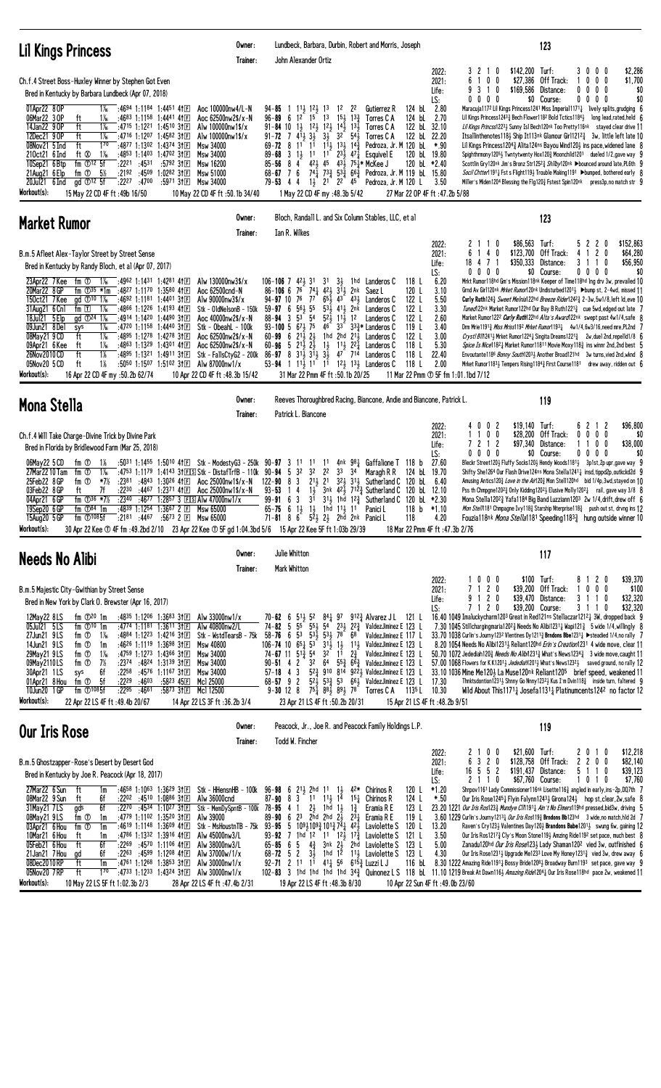| <b>Lil Kings Princess</b>                                                                                                                                                                                                                                                                                                                                                                                                                                                                                                                                                                                                                                                                                                                                                                                                                                              | Owner:<br>Trainer:                                                                                                                                                                                                                                                                                                                                                                  | John Alexander Ortiz                                                                                                                                                                                                                                                                                                                                                                                                                                                                                                                                                                             |                                                                                                                                                                                                                                                                                                                                                                                           | Lundbeck, Barbara, Durbin, Robert and Morris, Joseph                                                                                                                                                                                                                                                                                            |                                                                                                                                                                                                                        | 123                                                                                                                                                                                                                                                                                                                                                                                                                                                                                                                                                                                                                                                                                                                                                                                                                                                                                                                                                                                                                                                                                                                                                                                                            |
|------------------------------------------------------------------------------------------------------------------------------------------------------------------------------------------------------------------------------------------------------------------------------------------------------------------------------------------------------------------------------------------------------------------------------------------------------------------------------------------------------------------------------------------------------------------------------------------------------------------------------------------------------------------------------------------------------------------------------------------------------------------------------------------------------------------------------------------------------------------------|-------------------------------------------------------------------------------------------------------------------------------------------------------------------------------------------------------------------------------------------------------------------------------------------------------------------------------------------------------------------------------------|--------------------------------------------------------------------------------------------------------------------------------------------------------------------------------------------------------------------------------------------------------------------------------------------------------------------------------------------------------------------------------------------------------------------------------------------------------------------------------------------------------------------------------------------------------------------------------------------------|-------------------------------------------------------------------------------------------------------------------------------------------------------------------------------------------------------------------------------------------------------------------------------------------------------------------------------------------------------------------------------------------|-------------------------------------------------------------------------------------------------------------------------------------------------------------------------------------------------------------------------------------------------------------------------------------------------------------------------------------------------|------------------------------------------------------------------------------------------------------------------------------------------------------------------------------------------------------------------------|----------------------------------------------------------------------------------------------------------------------------------------------------------------------------------------------------------------------------------------------------------------------------------------------------------------------------------------------------------------------------------------------------------------------------------------------------------------------------------------------------------------------------------------------------------------------------------------------------------------------------------------------------------------------------------------------------------------------------------------------------------------------------------------------------------------------------------------------------------------------------------------------------------------------------------------------------------------------------------------------------------------------------------------------------------------------------------------------------------------------------------------------------------------------------------------------------------------|
| Ch.f.4 Street Boss-Huxley Winner by Stephen Got Even<br>Bred in Kentucky by Barbara Lundbeck (Apr 07, 2018)<br>01Apr22 8 OP<br>$1\%$ :4694 1:1184 1:4451 41E<br>06Mar22 3 OP<br>$1\%$<br>:4683 1:1158 1:4441 41 $\mathbb{E}$<br>ft<br>14Jan22 9 OP<br>ft<br>$1\%$<br>:4715 1:1221 1:4510 3†匣<br>ft<br>12Dec21 9 OP<br>1‰<br>:4716 1:1207 1:4582 31回<br>ft<br>$1^{70}$<br>08Nov21 5 Ind<br>:4877 1:1302 1:4374 311<br>ft Ø<br>$1\%$<br>:4853 1:1403 1:4702 31 $E$<br>210ct21 6 Ind<br>10Sep21 6 Btp<br>fm $\mathbb{D}^{12}$ 5f<br>$:22^{21}$ $:45^{31}$<br>fm ①<br>5½<br>:2192:4509<br>21Aug21 6 Elp<br>$gd$ $\odot$ <sup>12</sup> 5f<br>:2227 :4700<br>20Jul21 6 Ind<br>Workout(s):<br>15 May 22 CD 4F ft: 49b 16/50                                                                                                                                                   | Aoc 100000nw4/L-N<br>Aoc 62500nw2\$/x-N<br>Alw 100000nw1\$/x<br>Alw 100000nw1\$/x<br>Msw 34000<br>Msw 34000<br>:5792 311日<br>Msw 16200<br>$1:0282$ 31 $E$<br>Msw 51000<br>:5971 311日<br>Msw 34000<br>10 May 22 CD 4F ft :50.1b 34/40                                                                                                                                                | 11, 12, 13<br>$94 - 85 = 1$<br>$12^{7}$ $15^{7}$ $13$<br>$96 - 89 = 6$<br>$91 - 84$ 10<br>$4\overline{1}$ $3\overline{2}$<br>11 11<br>$91 - 72$<br>8<br>69-72<br>$1\frac{1}{2}$<br>1 <sup>1</sup><br>89-68<br>-3<br>423 45<br>$85 - 56$ 8 4<br>76<br>68-67<br>$79 - 53$ 4 4<br>$1\frac{1}{2}$ 21<br>1 May 22 CD 4F my :48.3b 5/42                                                                                                                                                                                                                                                                | $1^2$ $2^2$<br>$15\frac{1}{2}$ $13\frac{3}{4}$<br>1 <sup>1</sup> / <sub>2</sub> 1 <sup>2</sup> / <sub>2</sub> 1 <sup>4</sup> / <sub>2</sub> 1 <sup>3</sup> / <sub>2</sub><br>$32 - 54\overline{3}$<br>$3\frac{1}{2}$<br>$1\overline{1}$<br>$13\frac{1}{2}$ $14\frac{3}{4}$<br>$23\frac{1}{2}$ 47 $\frac{1}{4}$<br>-11<br>43 $\frac{1}{2}$ 75 $\frac{1}{4}$ * McKee J<br>2 <sup>2</sup> 45 | 124 bL<br>Gutierrez R<br>124 bL 2.70<br>Torres C A<br>122 bL 32.10<br>Torres C A<br>122 bL 22.20<br>Torres C A<br>Pedroza, Jr. M 120 bL *.90<br>120 bL<br>Esquivel E<br>120 bL *2.40<br>$74\frac{1}{4}$ $73\frac{3}{4}$ $53\frac{3}{4}$ 66 $\frac{3}{4}$ Pedroza, Jr. M 119 bl. 15.80<br>Pedroza, Jr. M 120 L<br>27 Mar 22 OP 4F ft :47.2b 5/88 | 2022:<br>32<br>$1\quad0$<br>0 <sub>0</sub><br>6<br>$\overline{1}$<br>2021:<br>310<br>Life:<br>$0\ 0\ 0\ 0$<br>LS:<br>2.80<br>19.80<br>3.50                                                                             | \$142,200 Turf:<br>\$2,286<br>$0\quad 0$<br>30<br>\$27,386 Off Track:<br>$0\quad0$<br>\$1,700<br>0<br>\$169,586 Distance:<br>00<br>$0\quad 0$<br>\$0<br>\$0 Course:<br>$0\ 0\ 0\ 0$<br>\$0<br>Maracuja1172 Lil Kings Princess1241 Miss Imperial1171 $\frac{1}{4}$ lively splits, grudging 6<br>Lil Kings Princess12433 Bech Flower1182 Bold Tctics11843 long lead, rated, held 6<br>Lil Kings Princss1223} Sunny Isl Bech120nk Too Pretty116nk stayed clear drive 11<br>Itsallinthenotes118} Ship It113nk Glamour Girl1212} 3w, little left late 10<br>Lil Kings Princess1204 $3/2$ Alita124ns Bayou Wind120 $3/2$ ins pace, widened lane 8<br>Spighthrmony1205} Twntytwenty Hox120} Moonchild1201 dueled 1/2, gave way 9<br>Scottlin Gry120nk Jim's Bronz Str12523 Shllby120nk ▶bounced around late, PL6th 9<br>Socil Chtter11911 Fst s Flight119} Trouble Making1191 ▶bumped, bothered early 8<br>Miller's Miden1204 Blessing the Flg120 <sup>3</sup> Fstest Spin120nk press3p, no match str 9                                                                                                                                                                                                               |
| <b>Market Rumor</b>                                                                                                                                                                                                                                                                                                                                                                                                                                                                                                                                                                                                                                                                                                                                                                                                                                                    | Owner:<br>Trainer:                                                                                                                                                                                                                                                                                                                                                                  | Ian R. Wilkes                                                                                                                                                                                                                                                                                                                                                                                                                                                                                                                                                                                    |                                                                                                                                                                                                                                                                                                                                                                                           | Bloch, Randall L. and Six Column Stables, LLC, et al                                                                                                                                                                                                                                                                                            |                                                                                                                                                                                                                        | 123                                                                                                                                                                                                                                                                                                                                                                                                                                                                                                                                                                                                                                                                                                                                                                                                                                                                                                                                                                                                                                                                                                                                                                                                            |
| B.m.5 Afleet Alex-Taylor Street by Street Sense<br>Bred in Kentucky by Randy Bloch, et al (Apr 07, 2017)<br>23Apr22 7 Kee<br>fm ①<br>$1\%$<br>:4962 1:1431 1:4281 411日<br>20Mar22 8 GP<br>:4827 1:1170 1:3580 411回<br>fm $\mathbb{D}^{35}$ *1m<br>150ct21 7 Kee<br>gd $\textcircled{10}$ 1 <sup>1</sup> / <sub>6</sub><br>:4692 1:1181 1:4401 31 $E$<br>31Aug21 6 Cn1<br>$1\%$<br>:4866 1:1226 1:4193 41 $E$<br>fm⊡<br>18Jul21 5 Elp<br>gd $\overline{O^{24}}$ 1 <sup>%</sup><br>:4914 1:1420 1:4490 3†国<br>$1\%$<br>09Jun21 8Del<br>:4720 1:1158 1:4440 311<br>sys<br>08May21 9 CD<br>ft<br>$1\%$<br>:4895 1:1278 1:4278 3†国<br>09Apr21 6Kee<br>ft<br>$1\%$<br>:4863 1:1329 1:4301 4111<br>ft<br>$1\%$<br>26Nov2010 CD<br>:4895 1:1321 1:4911 3†正<br>05Nov20 5 CD<br>ft<br>$1\%$<br>$:50^{50}$ 1:1507 1:5102 31 $E$<br>Workout(s):<br>16 Apr 22 CD 4F my :50.2b 62/74 | Alw 130000nw3\$/x<br>Aoc 62500cnd-N<br>Alw 90000nw3\$/x<br>Stk - OldNelsonB - 150k<br>Aoc 40000nw2\$/x-N<br>Stk - ObeahL - 100k<br>Aoc 62500nw2\$/x-N<br>Aoc 62500nw2\$/x-N<br>Stk - FallsCtyG2 - 200k<br>Alw 87000nw1/x<br>10 Apr 22 CD 4F ft :48.3b 15/42                                                                                                                         | $106 - 106$ 7 $42\frac{1}{2}$ 31<br>$86 - 1066$ 6 76<br>94-97 10 76<br>77<br>$56\frac{1}{2}$ 55<br>$59 - 97 = 6$<br>$53$ <sup>-</sup> $54$<br>$88 - 94$ 3<br>$67\frac{1}{2}$ 75<br>$93 - 1005$<br>$21\frac{1}{2}$ $2\frac{1}{2}$<br>$60 - 99 = 6$<br>60-96 5 $2^{1}\frac{1}{2}$ $2\frac{1}{2}$ 1 $\frac{1}{2}$ 1 <sup>1</sup> $\frac{1}{2}$ 2 <sup>2</sup> $\frac{1}{4}$ Landeros C<br>$86 - 97$ 8 31 31 31 31<br>53-94 1 1 <sup>1</sup> / <sub>2</sub> 1 <sup>1</sup> 1 <sup>1</sup> 1 <sup>2</sup> / <sub>2</sub> 1 <sup>3</sup> / <sub>2</sub> Landeros C<br>31 Mar 22 Pmm 4F ft: 50.1b 20/25 | - 31<br>$74\frac{1}{4}$ $42\frac{1}{2}$ $3\overline{1}\frac{1}{2}$ $2nk$ Saez L<br>$65\overline{3}$ $43$ $43\overline{3}$<br>$53\frac{1}{2}$ 41 $\frac{1}{2}$ 2nk Landeros C<br>$5^2\frac{1}{2}$ $1^1\frac{1}{2}$ 12<br>46<br>1hd 2hd $2^{11}$ Landeros C<br>47 714                                                                                                                       | 118 L<br>$3\frac{1}{2}$ 1hd Landeros C<br>120 L<br>122 L<br>Landeros C<br>122 L<br>122 L<br>Landeros C<br>$3^3$ $3^3$ $\overline{3}$ Landeros C<br>119 L<br>122 L<br>118 L<br>118 L<br>Landeros C<br>118 L                                                                                                                                      | 2022:<br>$1\quad0$<br>140<br>2021:<br>6<br>471<br>18<br>Life:<br>$0\quad 0\quad 0$<br>LS:<br>0<br>6.20<br>3.10<br>5.50<br>3.30<br>2.60<br>3.40<br>3.00<br>5.30<br>22.40<br>2.00<br>11 Mar 22 Pmm ① 5F fm 1:01.1bd 7/12 | 5 2 2 0<br>\$152,863<br>\$86,563 Turf:<br>\$123,700 Off Track:<br>412<br>0<br>\$64,280<br>\$350,333 Distance:<br>3 1 1 0<br>\$56,950<br>\$0 Course:<br>0000<br>\$0<br>Mrkt Rumor118hd Gm's Mission118nk Keeper of Time118hd Ing drv 3w, prevailed 10<br>Grnd Av Girl120nk Mrket Rumor120nk Undisturbed12013 >bump st, 2-4wd, missed 11<br>Curly Ruth124} Sweet Melnia122hd Breeze Rider1242} 2-3w, 5w1/8, left ld, eve 10<br><i>Tuned</i> 122 <sup>nk</sup> Market Rumor 122 <sup>hd</sup> Our Bay B Ruth 122 <sup>13</sup> <sub>4</sub> cue 5wd, edged out late 7<br>Market Rumor1222 <i>Curly Ruth</i> 122hd <i>Alta's Award</i> 122nk swept past 4w1/4,safe 8<br>Drm Mrie1191 <sup>3</sup> Miss Mriss119 <sup>2</sup> Mrket Rumor11931 4w1/4,6w3/16,need mre,PL2nd 7<br><i>Cryst1 B11</i> \241 <sup>3</sup> Mrket Rumor1224 <sup>1</sup> Singita Dreams1221 <sup>3</sup> 2w, duel 2nd, repelld1/8 6<br>Spice Is Nice11821 Market Rumor11811 Movie Moxy1183 ins winnr 2nd, 2nd best 5<br>Envoutante1186 Bonny South12033 Another Broad121hd 3w turns, vied 2nd, wknd 8<br>Mrket Rumor11831 Tempers Rising11843 First Course1181 drew away, ridden out 6                                                      |
| Mona Stella                                                                                                                                                                                                                                                                                                                                                                                                                                                                                                                                                                                                                                                                                                                                                                                                                                                            | Owner:<br>Trainer:                                                                                                                                                                                                                                                                                                                                                                  | Patrick L. Biancone                                                                                                                                                                                                                                                                                                                                                                                                                                                                                                                                                                              |                                                                                                                                                                                                                                                                                                                                                                                           | Reeves Thoroughbred Racing, Biancone, Andie and Biancone, Patrick L.                                                                                                                                                                                                                                                                            |                                                                                                                                                                                                                        | 119                                                                                                                                                                                                                                                                                                                                                                                                                                                                                                                                                                                                                                                                                                                                                                                                                                                                                                                                                                                                                                                                                                                                                                                                            |
| Ch.f.4 Will Take Charge-Divine Trick by Divine Park<br>Bred in Florida by Bridlewood Farm (Mar 25, 2018)<br>06May22 5 CD<br>fm ①<br>1%<br>27Mar22 10 Tam<br>$1\%$<br>fm ①<br>fm ①<br>*7½<br>:2381<br>25Feb22 8 GP<br>03Feb22 8 GP<br>7f<br>:2230<br>ft<br>:2340<br>04Apr21 6 GP<br>fm $\sqrt{136}$ *7%<br>:4677<br>$:4839$ 1:1254 1:3667 2 E<br>19Sep20 6 GP<br>fm $\mathbb{D}^{84}$ 1m<br>fm ① <sup>108</sup> 5f :21 <sup>81</sup> :44 <sup>67</sup> :56 <sup>73</sup> 2 ⊡ Msw 65000<br>15Aug20 5GP<br>Workout(s):                                                                                                                                                                                                                                                                                                                                                    | $:50^{31}$ 1:1455 1:5010 41 $E$ Stk – ModestyG3 – 250k 90-97 3<br>:4753 1:1179 1:4143 31 E S Stk - Distaf TrfB - 110k 90-94 5<br>:4843 1:3026 41 $E$ Aoc 25000nw1\$/x-N 122-90 8 3<br>:4467 1:2371 41 $E$<br>Aoc 25000nw1\$/x-N<br>1:2857 3 ES Alw 47000nw1/x<br>Msw 65000<br>30 Apr 22 Kee ① 4F fm :49.2bd 2/10 23 Apr 22 Kee ① 5F gd 1:04.3bd 5/6 15 Apr 22 Kee 5F ft 1:03b 29/39 | 11<br>-11<br>32<br>32<br>$21\frac{1}{2}$<br>$93 - 53$<br>$1\frac{1}{2}$<br>4<br>-1<br>99-91<br>6 3<br>31<br>$65 - 75$ 6 $1\frac{1}{2}$<br>71-81 8 6 $5\overline{2}$ $2\overline{2}$ 2hd 2nk Panici L                                                                                                                                                                                                                                                                                                                                                                                             | -11<br>34<br>22<br>33<br>2 <sup>1</sup><br>$31\frac{1}{2}$ 1hd $12\frac{3}{4}$<br>$1\frac{1}{2}$ 1hd $11\frac{1}{2}$ 11 <sup>7</sup> Panici L                                                                                                                                                                                                                                             | 4nk $98\frac{1}{4}$ Gaffalione T 118 b<br>Maragh R R<br>124 bL<br>321 311 Sutherland C 120 bL 6.40<br>3nk 423 7123 Sutherland C 120 bl 12.10<br>Sutherland C $120$ bL $*2.30$<br>118 b $*1.10$<br>118<br>18 Mar 22 Pmm 4F ft :47.3b 2/76                                                                                                        | 0 <sub>2</sub><br>40<br>2022:<br>0 <sub>0</sub><br>2021:<br>1 1<br>7 2 1 2<br>Life:<br>$0\ 0\ 0\ 0$<br>LS:<br>27.60<br>19.70<br>4.20                                                                                   | \$19,140 Turf:<br>\$96,800<br>62<br>12<br>\$28,200 Off Track:<br>00<br>$0\quad 0$<br>\$0<br>\$97,340 Distance:<br>0<br>0<br>\$38,000<br>11<br>$0\ 0\ 0\ 0$<br>\$0<br>\$0 Course:<br>Bleckr Street1201 Fluffy Socks1201 Hendy Woods11811 3p1st, 2p upr, gave way 9<br>Shifty She1264 Our Flash Drive124ns Mona Stella12411 insd, tippd2p, outkckd2d 9<br>Amusing Antics120 <sub>4</sub> Love in the Air120 <sub>4</sub> Mon Stell120hd bid 1/4p,3wd,stayed on 10<br>Pss th Chmpgne1202 $\frac{3}{4}$ Only Kidding1202 $\frac{1}{2}$ Elusive Molly1202 $\frac{1}{4}$ rail, gave way 3/8 8<br>Mona Stella12023 Yafa1184 Big Band Luzziann1203 2w 1/4, drift, drew off 6<br>Mon Stell 181 Chmpagne Ivy 118 <sub>2</sub> Starship Nterprise 118 <sub>2</sub> push out st, drvng ins 12<br>Fouzia118 <sup>nk</sup> Mona Stella1181 Speeding1183 <sub>4</sub> hung outside winner 10                                                                                                                                                                                                                                                                                                                                  |
| <b>Needs No Alibi</b>                                                                                                                                                                                                                                                                                                                                                                                                                                                                                                                                                                                                                                                                                                                                                                                                                                                  | Owner:<br>Trainer:                                                                                                                                                                                                                                                                                                                                                                  | Julie Whitton<br>Mark Whitton                                                                                                                                                                                                                                                                                                                                                                                                                                                                                                                                                                    |                                                                                                                                                                                                                                                                                                                                                                                           |                                                                                                                                                                                                                                                                                                                                                 |                                                                                                                                                                                                                        | 117                                                                                                                                                                                                                                                                                                                                                                                                                                                                                                                                                                                                                                                                                                                                                                                                                                                                                                                                                                                                                                                                                                                                                                                                            |
| B.m.5 Majestic City-Gwithian by Street Sense<br>Bred in New York by Clark 0. Brewster (Apr 16, 2017)<br>12May22 8LS<br>fm $\mathbb{D}^{20}$ 1m<br>:4835 1:1206 1:3683 31 $E$<br>05Jul21 5LS<br>fm $\mathbb{D}^{10}$ 1m<br>:4774 1:1181 1:3611 31回<br>27Jun21 9LS<br>fm ①<br>$1\%$<br>:4884 1:1223 1:4216 3111<br>14Jun21 9LS<br>fm ①<br>:4626 1:1119 1:3698 31回<br>1m<br>$1\%$<br>29May21 9LS<br>fm ①<br>:4759 1:1273 1:4366 3†国<br>:2374 :4824 1:3139 311<br>fm ①<br>7½<br>09May2110LS<br>6f<br>:2258<br>30Apr21 1LS<br>sys<br>$:22^{29}$<br>01Apr21 8 Hou<br>fm ①<br>5f<br>:4603<br>fm $①$ <sup>108</sup> 5f<br>:2295<br>:4661<br>10Jun20 1 GP<br>Workout(s):<br>22 Apr 22 LS 4F ft :49.4b 20/67                                                                                                                                                                     | Alw 33000nw1/x<br>Alw 40800nw2/L<br>Stk - WstdTearsB - 75k 58-76 6 53 53 53 78 68<br>Msw 40800<br>Msw 34000<br>Msw 34000<br>:4576 1:1167 3111<br>Msw 34000<br>:5823 45国<br>Mc1 25000<br>:5873 311回<br>McI 12500<br>14 Apr 22 LS 3F ft :36.2b 3/4                                                                                                                                    | $70 - 62$ 6 $51\frac{1}{2}$<br>5 <sup>2</sup><br>$55\frac{1}{2}$ 54<br>$74 - 82 = 5$<br>55<br>106-74 10 $65\frac{1}{4}$ $53\frac{1}{2}$ $1\frac{1}{2}$ $1\frac{1}{2}$ ValdezJiminez E 123 L<br>$74-67$ 11 $51\frac{3}{4}$ 54<br>$90 - 51$ 4 2 $32$<br>$57 - 18$ 4 3<br>68-57 9 2 $5^{2}$ 53 <sup>3</sup> / <sub>2</sub> 53 66 <sup>1</sup> / <sub>2</sub> ValdezJiminez E 123 L<br>$9 - 30$ 12 8<br>23 Apr 21 LS 4F ft : 50.2b 20/31                                                                                                                                                             | 3 <sup>2</sup><br>$1^{\overline{1}}$ $2^{\overline{3}}$<br>64<br>$75\frac{1}{4}$ $88\frac{1}{2}$ $89\frac{1}{2}$ $78$                                                                                                                                                                                                                                                                     | $84\frac{1}{4}$ 97 912 $\frac{3}{4}$ Alvarez J L 121 L<br>$23\frac{1}{2}$ $22\frac{3}{4}$ ValdezJiminez E 123 L<br>ValdezJiminez E 117 L<br>ValdezJiminez E 123 L<br>$55\frac{3}{4}$ 6 <sup>6</sup> $\frac{3}{4}$ ValdezJiminez E 123 L<br>$5^{23}$ 910 814 9221 ValdezJiminez E 123 L<br>Torres C A 1135 L<br>15 Apr 21 LS 4F ft: 48.2b 9/51   | $0\,0\,0$<br>2022:<br>2 <sub>0</sub><br>2021:<br>$1 2 0$<br>Life:<br>$\mathbf{2}$<br>LS:<br>0<br>71<br>17.30<br>10.30                                                                                                  | \$100 Turf:<br>\$39,370<br>8120<br>\$39,200 Off Track:<br>1000<br>\$100<br>\$39,470 Distance:<br>3 1 1 0<br>\$32,320<br>\$32,320<br>\$39,200 Course:<br>311<br>0<br>16.40 1049 Imaluckycharm1203 Great in Red121ns Stellaczar1212 $\frac{1}{4}$ 3W, dropped back 9<br>7.30 1045 Stillchargingmaria120 <sup>2</sup> $_{2}^{2}$ Needs No Alibi1231 $_{4}^{1}$ Wapi121 $_{4}^{3}$ 5 wide 1/4, willingly 8<br>33.70 1038 Curlin's Journy 1232 Vlentines Dy12113 Brndons Bbe1231 > Steadied 1/4, no rally 7<br>8.20 1054 Needs No Alibi12313 Reliant120hd <i>Erin's Creation</i> 1231 4 wide move, clear 11<br>50.70 1072 Jedediah1203 Needs No Alibn 2313 What's News12343 3 wide move, caught 11<br>57.00 1068 Flowers for K K1201 <sub>2</sub> Jedediah1201 <sub>2</sub> What's News1232 <sub>2</sub> saved ground, no rally 12<br>33.10 1036 Mine Me120} La Muse120nk Reliant120 <sup>5</sup> brief speed, weakened 11<br>Thnktsdontion12313 Shnny Go Nnny12323 Kus I'm Dvin1183 inside turn, faltered 9<br>Wild About This 1171. Josefa 1131. Platinum cents 1242 no factor 12                                                                                                                                 |
| <b>Our Iris Rose</b>                                                                                                                                                                                                                                                                                                                                                                                                                                                                                                                                                                                                                                                                                                                                                                                                                                                   | Owner:<br>Trainer:                                                                                                                                                                                                                                                                                                                                                                  | Todd W. Fincher                                                                                                                                                                                                                                                                                                                                                                                                                                                                                                                                                                                  |                                                                                                                                                                                                                                                                                                                                                                                           | Peacock, Jr., Joe R. and Peacock Family Holdings L.P.                                                                                                                                                                                                                                                                                           |                                                                                                                                                                                                                        | 119                                                                                                                                                                                                                                                                                                                                                                                                                                                                                                                                                                                                                                                                                                                                                                                                                                                                                                                                                                                                                                                                                                                                                                                                            |
| B.m.5 Ghostzapper-Rose's Desert by Desert God<br>Bred in Kentucky by Joe R. Peacock (Apr 18, 2017)<br>27Mar22 6 Sun<br>ft<br>1m<br>:4658 1:1063 1:3629 31 $E$<br>08Mar22 9 Sun<br>ft<br>6f<br>$:22^{02}$ $:45^{10}$ 1:0886 31 E<br>31May21 7LS<br>gds<br>6f<br>$:22^{70}$ $:45^{34}$ 1:10 <sup>27</sup> 31 $E$<br>08May21 9LS<br>:4779 1:1102 1:3520 3†回<br>fm ①<br>1m<br>03Apr21 6 Hou<br>fm ①<br>:4619 1:1148 1:3609 41日<br>1m<br>:4786 1:1332 1:3916 41回<br>10Mar21 6 Hou<br>ft<br>1m<br>ft<br>05Feb21 6 Hou<br>6f<br>:2269 :4570 1:1106 411<br>$:22^{63}$ $:45^{99}$ 1:1208 41 E<br>21Jan21 7 Hou<br>6f<br>gd<br>08Dec2010RP<br>ft<br>:4761 1:1268 1:3853 31 $E$<br>1m<br>05Nov20 7RP<br>ft<br>$1^{70}$<br>:4733 1:1233 1:4324 31 $\mathbb{E}$<br>Workout(s):<br>10 May 22 LS 5F ft 1:02.3b 2/3                                                                    | Stk - HHensnHB - 100k 96-98 6 213 2hd 11<br>Alw 36000cnd<br>Stk - MemDySpntB - 100k<br>Alw 39000<br>Stk - MsHoustnTB - 75k 93-95 5 10931093 1013 74 423 Laviolette S 120 L<br>Alw 45000nw3/L<br>Alw 38000nw3/L<br>Alw 37000w/1/x<br>Alw 30000nw1/x<br>Alw 30000nw1/x<br>28 Apr 22 LS 4F ft: 47.4b 2/31                                                                              | $87 - 90$ 8 3<br>$11 \quad 11\frac{1}{2} \quad 14$<br>78-95 4 1<br>$89 - 90$ 6 $2^3$ $2^5$ d $2^1$ d $2^1$<br>93-92 7 1hd 1 <sup>2</sup> 1 <sup>1</sup> 1 <sup>2</sup> / <sub>2</sub> 1 <sup>7</sup> / <sub>4</sub> Laviolette S<br>65-85 6 5 $4\frac{3}{4}$ 3nk $2\frac{1}{2}$ 2hd Laviolette S<br>34<br>$68 - 72$ 5 2<br>92-71 2 11 1 <sup>1</sup> 41 <sup>1</sup> 56 61 <sup>5<sub>2</sub></sup> Luzzi LJ<br>19 Apr 22 LS 4F ft: 48.3b 8/30                                                                                                                                                   | 1 <sup>3</sup> 4 <sup>2*</sup> Chirinos R<br>$2\frac{1}{2}$ 1hd $1\frac{1}{2}$ 1 $\frac{3}{4}$                                                                                                                                                                                                                                                                                            | 120 L<br>124 L<br>$15\frac{1}{4}$ Chirinos R<br>123 L<br>Eramia R E<br>$2^3\frac{1}{4}$ Eramia R E<br>119 L<br>121 L<br>123 L<br>1hd 12 113 Laviolette S 123 L<br>116 bL<br>10 Apr 22 Sun 4F ft: 49.0b 23/60                                                                                                                                    | 0 <sub>0</sub><br>2022:<br>21<br>3 2 0<br>6<br>2021:<br>5 5 2<br>16<br>Life:<br>2 1 1 0<br>LS:<br>$*1.20$<br>$*.50$<br>13.20<br>3.50<br>5.00<br>4.30                                                                   | \$21,600 Turf:<br>\$12,218<br>2010<br>\$128,758 Off Track:<br>2 2 0 0<br>\$82,140<br>\$39,123<br>\$191,437 Distance:<br>5 1 1 0<br>\$7,760<br>\$67,760 Course:<br>1010<br>Shrpov1161 Lady Commissioner116nk Lisette116 $\frac{3}{4}$ angled in early, ins-2p, DQ7th 7<br>Our Iris Rose12451 Flyin Falynn12431 Girona1241 hop st, clear, 2w, safe 8<br>23.20 1221 Our Iris Ros1233 Mundye CIN 1911 Ain't No Elmers119hd pressed, bid3w, driving 5<br>3.60 1229 Curlin's Journy 1213 $\frac{1}{4}$ Our Iris Ros119 $\frac{3}{4}$ Brndons Bb123hd 3 wide, no match, hld 2d 7<br>Raven's Cry123 $\frac{1}{2}$ Valentines Day120 $\frac{1}{2}$ Brandons Babe1201 $\frac{1}{2}$ swung 6w, gaining 12<br>Our Iris Ros12173 Cly's Moon Stone1193 Amzing Ride1192 set pace, much best 8<br>Zanadu120hd <i>Our Iris Rose</i> 1233 Lady Shaman120 <sup>2</sup> vied 3w, outfinished 6<br>Our Iris Rose12311 Upgrade Me1233 Love My Honey1231 $\frac{3}{4}$ vied 3w, drew away 6<br>8.30 1222 Amazing Ride11914 Bossy Bride12084 Broadway Burn1193 set pace, gave way 9<br>102-83 3 1hd 1hd 1hd 34 <sup>3</sup> Quinonez L S 118 bL 11.10 1219 Break At Dawn1163 Amazing Ride12043 Our Iris Rose118hd pace 2w, weakened 11 |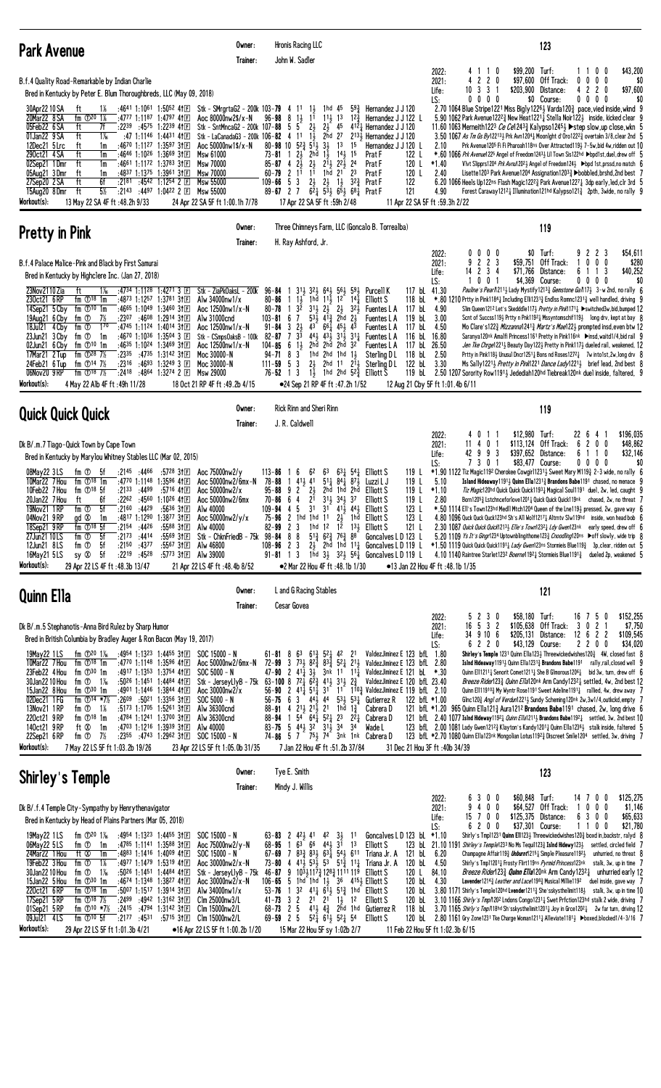| <b>Park Avenue</b>                                                                                                                                                                                                                                                                                                                                                                                                                                                                                                                                                                                                                                                                                                                                                                                                                                                                                                                           | Owner:<br>Trainer:                                                                                                                                                                                                                                                                                                               | Hronis Racing LLC<br>John W. Sadler                                                                                                                                                                                                                                                                                                                                                                                                                                                                                                                                                                                                                                                     |                                                                                                                                                                                                                                                                                                                                                                                                                                                                                                                                                                                           |                                                                                                                                                                                                                                                                                                                                                                                                           |                                                                                                                                                                                                                             | 123                                                                                                                                                                                                                                                                                                                                                                                                                                                                                                                                                                                                                                                                                                                                                                                                                                                                                                                                                                                                                                                                                                                                                                                                                                                                            |
|----------------------------------------------------------------------------------------------------------------------------------------------------------------------------------------------------------------------------------------------------------------------------------------------------------------------------------------------------------------------------------------------------------------------------------------------------------------------------------------------------------------------------------------------------------------------------------------------------------------------------------------------------------------------------------------------------------------------------------------------------------------------------------------------------------------------------------------------------------------------------------------------------------------------------------------------|----------------------------------------------------------------------------------------------------------------------------------------------------------------------------------------------------------------------------------------------------------------------------------------------------------------------------------|-----------------------------------------------------------------------------------------------------------------------------------------------------------------------------------------------------------------------------------------------------------------------------------------------------------------------------------------------------------------------------------------------------------------------------------------------------------------------------------------------------------------------------------------------------------------------------------------------------------------------------------------------------------------------------------------|-------------------------------------------------------------------------------------------------------------------------------------------------------------------------------------------------------------------------------------------------------------------------------------------------------------------------------------------------------------------------------------------------------------------------------------------------------------------------------------------------------------------------------------------------------------------------------------------|-----------------------------------------------------------------------------------------------------------------------------------------------------------------------------------------------------------------------------------------------------------------------------------------------------------------------------------------------------------------------------------------------------------|-----------------------------------------------------------------------------------------------------------------------------------------------------------------------------------------------------------------------------|--------------------------------------------------------------------------------------------------------------------------------------------------------------------------------------------------------------------------------------------------------------------------------------------------------------------------------------------------------------------------------------------------------------------------------------------------------------------------------------------------------------------------------------------------------------------------------------------------------------------------------------------------------------------------------------------------------------------------------------------------------------------------------------------------------------------------------------------------------------------------------------------------------------------------------------------------------------------------------------------------------------------------------------------------------------------------------------------------------------------------------------------------------------------------------------------------------------------------------------------------------------------------------|
| B.f.4 Quality Road-Remarkable by Indian Charlie<br>Bred in Kentucky by Peter E. Blum Thoroughbreds, LLC (May 09, 2018)                                                                                                                                                                                                                                                                                                                                                                                                                                                                                                                                                                                                                                                                                                                                                                                                                       |                                                                                                                                                                                                                                                                                                                                  |                                                                                                                                                                                                                                                                                                                                                                                                                                                                                                                                                                                                                                                                                         |                                                                                                                                                                                                                                                                                                                                                                                                                                                                                                                                                                                           | 2022:<br>2021:<br>Life:                                                                                                                                                                                                                                                                                                                                                                                   | \$99,200 Turf:<br>4110<br>$\mathbf{2}$<br>2 <sub>0</sub><br>\$97,600<br>331<br>\$203,900 Distance:<br>10                                                                                                                    | \$43,200<br>1100<br>Off Track:<br>0 <sub>0</sub><br>\$0<br>$0\quad 0$<br>4 2 2 0<br>\$97,600                                                                                                                                                                                                                                                                                                                                                                                                                                                                                                                                                                                                                                                                                                                                                                                                                                                                                                                                                                                                                                                                                                                                                                                   |
| 30Apr22 10 SA<br>:4641 1:1061 1:5052 41E<br>ft<br>1%<br>20Mar22 8 SA<br>fm $\mathbb{D}^{20}$ 1%<br>:4777 1:1187 1:4797 411回<br>05Feb22 6 SA<br>7f<br>$:22^{39}$ $:45^{75}$ 1:22 <sup>39</sup> 41 E<br>ft<br>ft<br>$1\%$<br>01Jan22 9 SA<br>:47 1:1146 1:4431 4111<br>ft<br>:4670 1:1127 1:3597 3111<br>12Dec21 5 Lrc<br>1m<br>290ct21 4 SA<br>ft<br>:4646 1:1026 1:3669 3†国<br>1m<br>ft<br>02Sep21 1Dmr<br>:4661 1:1172 1:3783 3†国<br>1m<br>05Aug21 3 Dmr<br>:4837 1:1375 1:3961 31日<br>ft<br>1m<br>27Sep20 2 SA<br>ft<br>6f<br>:2181 :4542 1:1254 2 $\Box$<br>$5\%$<br>ft<br>15Aug20 8 Dmr<br>:2143 :4497 1:0422 2 $\Box$<br>Workout(s):<br>13 May 22 SA 4F ft: 48.2h 9/33                                                                                                                                                                                                                                                                  | Stk - SMrgrtaG2 - 200k 103- <b>79</b> 4 11<br>Aoc 80000nw2\$/x-N<br>Stk - SntMncaG2 - 200k 107-88 5 5<br>Stk - LaCanadaG3 - 200k 106-82 4 11<br>Aoc 50000nw1\$/x-N<br>Msw 61000<br><b>Msw 70000</b><br>Msw 70000<br><b>Msw 55000</b><br>Msw 55000<br>24 Apr 22 SA 5F ft 1:00.1h 7/78                                             | 11<br>$96 - 98$<br>8<br>11<br>$1\frac{1}{2}$<br>$2\frac{1}{2}$<br>$1\frac{1}{2}$<br>80-98 10 $5^2\frac{3}{4}$ 5 <sup>1</sup> 3 <sup>1</sup><br>73- <b>81</b> 1 2 <sup>1</sup> 2hd 1 <sup>1</sup><br>$85 - 87$ 4 $2\frac{1}{2}$<br>$2\frac{1}{2}$<br>$60 - 79$ 2 1 <sup>1</sup> 1 <sup>1</sup> 1ha 21<br>$2\frac{1}{2}$<br>$109 - 66$ 5 3<br>$89 - 67$ 2 7<br>17 Apr 22 SA 5F ft: 59h 2/48                                                                                                                                                                                                                                                                                               | 1hd 45<br>$59\frac{3}{4}$<br>12 <sup>3</sup><br>$11\frac{1}{2}$ 13<br>$2\frac{1}{2}$ 45<br>2hd<br>27<br>15<br>13<br>1 <sup>5</sup><br>$14\frac{1}{2}$<br>21,<br>$2^2$<br>24<br>2 <sup>3</sup><br>$2\frac{1}{2}$<br>$1\frac{1}{2}$ $32\frac{3}{4}$<br>$6\overline{2}_4$ $5\overline{3}_2$ $6\overline{5}_2$ $68\overline{4}$                                                                                                                                                                                                                                                               | LS:<br>Hernandez J J 120<br>Hernandez J J 122 L<br>$4^{12}$ Hernandez J J 120<br>$2^{13}$ Hernandez J J 120<br>Hernandez J J 120 L<br>2.10<br>122 L<br>Prat F<br>120 L<br>Prat F<br>$*1.40$<br>120 L<br>2.40<br>Prat F<br>122<br>Prat F<br>121<br>Prat F<br>4.90<br>11 Apr 22 SA 5F ft :59.3h 2/22                                                                                                        | $0\quad 0\quad 0$<br>0                                                                                                                                                                                                      | \$0 Course:<br>$0\ 0\ 0\ 0$<br>\$0<br>2.70 1064 Blue Stripe1221 Miss Bigly12263 Varda1203 pace, vied inside, wknd 9<br>5.90 1062 Park Avenue122 <sup>2</sup> New Heat122 <sup>1</sup> $\frac{1}{4}$ Stella Noir122 <sup>1</sup> inside, kicked clear 9<br>11.60 1063 Merneith122 <sup>3</sup> <i>Ce Ce</i> 124 <sup>3</sup> § Kalypso124 <sup>5</sup> } > step slow, up close, wkn 5<br>3.50 1067 As $Im Gs By122133$ Prk Avn1204 $\frac{1}{4}$ Moonlght d'Oro122 <sup>23</sup> overtakn 3/8, clear 2nd 5<br>Prk Avenue1205 Fi Fi Pharoah118ns Over Attracted1193 7-5w, bid 4w, ridden out 10<br>*.60 1066 Prk Avenue1225 Angel of Freedom12431 Lil Town Sis122hd Dbpd1st, duel, drew off<br>Vivt Slipprs1204 Prk Avnu12023 Angel of Freedom1243 $\blacktriangleright$ bpd 1st, prssd, no match 6<br>Lisette1203 Park Avenue1204 Assignation1203 $\frac{3}{4}$ Dobbled, brshd, 2nd best 7<br>$6.201066$ Heels Up122ns Flash Magic122 <sup>2</sup> $3$ Park Avenue1227 $3$ 3dp early, led, clr 3rd $5$<br>Forest Caraway12121 Illumination121hd Kalypso1213 2pth, 3wide, no rally 9                                                                                                                                                                                             |
| <b>Pretty in Pink</b>                                                                                                                                                                                                                                                                                                                                                                                                                                                                                                                                                                                                                                                                                                                                                                                                                                                                                                                        | Owner:<br>Trainer:                                                                                                                                                                                                                                                                                                               | H. Ray Ashford, Jr.                                                                                                                                                                                                                                                                                                                                                                                                                                                                                                                                                                                                                                                                     | Three Chimneys Farm, LLC (Goncalo B. Torrealba)                                                                                                                                                                                                                                                                                                                                                                                                                                                                                                                                           |                                                                                                                                                                                                                                                                                                                                                                                                           |                                                                                                                                                                                                                             | 119                                                                                                                                                                                                                                                                                                                                                                                                                                                                                                                                                                                                                                                                                                                                                                                                                                                                                                                                                                                                                                                                                                                                                                                                                                                                            |
| B.f.4 Palace Malice-Pink and Black by First Samurai<br>Bred in Kentucky by Highclere Inc. (Jan 27, 2018)                                                                                                                                                                                                                                                                                                                                                                                                                                                                                                                                                                                                                                                                                                                                                                                                                                     |                                                                                                                                                                                                                                                                                                                                  |                                                                                                                                                                                                                                                                                                                                                                                                                                                                                                                                                                                                                                                                                         |                                                                                                                                                                                                                                                                                                                                                                                                                                                                                                                                                                                           | 2022:<br>2021:<br>Life:                                                                                                                                                                                                                                                                                                                                                                                   | $0\,$ $0\,$ $0\,$<br>0<br>2 2 3<br>9<br>2 3 4<br>\$71,766<br>14                                                                                                                                                             | \$0 Turf:<br>9223<br>\$54,611<br>\$59,751 Off Track:<br>$0\quad0$<br>\$280<br>0<br>3<br>Distance:<br>\$40,252<br>6<br>11                                                                                                                                                                                                                                                                                                                                                                                                                                                                                                                                                                                                                                                                                                                                                                                                                                                                                                                                                                                                                                                                                                                                                       |
| $:4734$ 1:1128 1:4271 3 E<br>23Nov 2110 Zia<br>ft<br>1‰<br>230ct21 6RP<br>fm $\mathbb{O}^{18}$ 1m<br>:48 <sup>73</sup> 1:12 <sup>57</sup> 1:37 <sup>81</sup> 3†匣<br>14Sep21 5 Cby<br>fm $\mathbb{D}^{10}$ 1m<br>:4665 1:1049 1:3460 3†国<br>fm ①<br>7½<br>$: 23^{07}$ $: 46^{08}$ 1:2914 3†E<br>19Aug21 6 Cby<br>$1^{70}$<br>18Jul21 4 Cby<br>fm ①<br>:4745 1:1124 1:4014 311<br>fm ①<br>1m<br>:4670 1:1036 1:3504 3 $\Box$<br>23Jun21 3 Cby<br>02Jun21 6 Cby<br>fm $\mathbb{O}^{10}$ 1m<br>:4635 1:1024 1:3469 3†国<br>:2335 :4735 1:3142 31 $\Box$<br>17Mar21 2 Tup<br>fm $\Phi^{28}$ 7%<br>24Feb21 6 Tup<br>fm $\Phi$ <sup>14</sup> 7 <sup>%</sup><br>:2316 :4693 1:3249 3 $\Box$<br>06Nov20 9 RP<br>fm $\Phi$ <sup>18</sup> 7 <sup>%</sup><br>$:24^{18}$ $:48^{64}$ 1:3274 2 E<br>Workout(s):<br>4 May 22 Alb 4F ft: 49h 11/28                                                                                                             | Stk - ZiaPkOaksL - 200k<br>Alw 34000nw1/x<br>Aoc 12500nw1/x-N<br>Alw 31000cnd<br>Aoc 12500nw1/x-N<br>Stk - CSmpsOaksB - 100k<br>Aoc 12500nw1/x-N<br>Moc 30000-N<br>Moc 30000-N<br>Msw 29000<br>18 Oct 21 RP 4F ft :49.2b 4/15                                                                                                    | $96 - 84$<br>$1\frac{1}{2}$<br>$80 - 86$<br>$3\bar{2}$<br>$80 - 78$<br>$\overline{1}$<br>$103 - 81$ 6 7<br>$2\frac{1}{2}$<br>3<br>$91 - 84$<br>$3\overline{3}$<br>82-87<br>7<br>$1\frac{1}{2}$<br>$104 - 85 = 6$<br>$94 - 718$<br>3<br>3<br>$2\frac{1}{2}$<br>$111 - 59$ 5<br>$76 - 52$ 1 3                                                                                                                                                                                                                                                                                                                                                                                             | $31\frac{1}{2}$ $32\frac{1}{2}$ $64\frac{1}{2}$ $56\frac{1}{2}$ $59\frac{1}{2}$<br>1hd 11, 12 <sup>-</sup> 14,<br>$3^{11}_{2}$ $2^{1}_{2}$ $2^{1}_{2}$<br>$32\frac{1}{2}$<br>$53\frac{1}{2}$ 41 <sup>3</sup> / <sub>4</sub> 2hd 2 <sup>1</sup> / <sub>2</sub><br>$43$ 66 $\frac{1}{4}$ 45 $\frac{1}{2}$ 43<br>$44\frac{1}{2}$ $43\frac{1}{2}$ $31\frac{1}{2}$ 31 <sup>1</sup> / <sub>4</sub> Fuentes L A<br>2hd 2hd 2hd<br>32<br>1hd $2$ hd $1$ hd $1\frac{1}{2}$<br>2hd $11 \t2^{\overline{1}\frac{1}{2}}$ Sterling D L<br>13 1hd 2hd $5^2$ Elliott S<br>●24 Sep 21 RP 4F ft :47.2h 1/52 | LS:<br>117 bL 41.30<br>Purcell K<br>118 bL<br>Elliott S<br>117 bL<br>4.90<br>Fuentes L A<br>119 bL<br>3.00<br>Fuentes L A<br>117 bL<br>4.50<br>Fuentes L A<br>116 bL<br>16.80<br>117 bL 26.50<br>Fuentes L A<br>118 bL 2.50<br>Sterling DL<br>122 bL 3.30<br>12 Aug 21 Cby 5F ft 1:01.4b 6/11                                                                                                             | \$4,369 Course:<br>0<br>0 <sub>1</sub>                                                                                                                                                                                      | $0\ 0\ 0\ 0$<br>\$0<br><i>Pauline's Pearl</i> 12113 Lady Mystify12133 <i>Gemstone Gal</i> 1173 3-w 2nd, no rally 6<br>*.80 1210 Prtty in Pink1184 $\frac{1}{4}$ Including Elli1231 $\frac{3}{4}$ Endlss Romnc1231 $\frac{3}{4}$ well handled, driving 9<br>Slim Queen121 <sup>2</sup> Let's Skedddle117 <i>} Pretty in Pink</i> 1171 <sub>1</sub> ▶ switched3w, bid, bumped 12<br>Scnt of Succss1193 Prtty n Pnk11921 Mssyntomschif1193 long drv, kept at bay 8<br>Mo Clare's1223 Mizzanna12413 Martz's Mae1223 prompted insd, even btw 12<br>Saranya120nk Amalfi Princess1161 Pretty in Pink116nk >insd, waitd1/4, bid rail 9<br>Jen Tke Chrge12213 Beauty Day1223 Pretty in Pink1173 dueled rail, weakened, 12<br>Prtty in Pink118½ Unusul Dncr1251½ Bons nd Roses1272½ 7w into1st, 2w, long drv 8<br>Ms Sally12213 Pretty in Pink1221 Dance Lady12213 brief lead, 2nd best 8<br>119 bL 2.50 1207 Sorority Row11913 Jedediah120hd Tiebreak120nk duel inside, faltered, 9                                                                                                                                                                                                                                                                                                     |
| <b>Quick Quick Quick</b>                                                                                                                                                                                                                                                                                                                                                                                                                                                                                                                                                                                                                                                                                                                                                                                                                                                                                                                     | Owner:<br>Trainer:                                                                                                                                                                                                                                                                                                               | Rick Rinn and Sheri Rinn<br>J. R. Caldwell                                                                                                                                                                                                                                                                                                                                                                                                                                                                                                                                                                                                                                              |                                                                                                                                                                                                                                                                                                                                                                                                                                                                                                                                                                                           |                                                                                                                                                                                                                                                                                                                                                                                                           |                                                                                                                                                                                                                             | 119                                                                                                                                                                                                                                                                                                                                                                                                                                                                                                                                                                                                                                                                                                                                                                                                                                                                                                                                                                                                                                                                                                                                                                                                                                                                            |
| Dk B/.m.7 Tiago-Quick Town by Cape Town<br>Bred in Kentucky by Marylou Whitney Stables LLC (Mar 02, 2015)                                                                                                                                                                                                                                                                                                                                                                                                                                                                                                                                                                                                                                                                                                                                                                                                                                    |                                                                                                                                                                                                                                                                                                                                  |                                                                                                                                                                                                                                                                                                                                                                                                                                                                                                                                                                                                                                                                                         |                                                                                                                                                                                                                                                                                                                                                                                                                                                                                                                                                                                           | 2022:<br>2021:<br>Life:                                                                                                                                                                                                                                                                                                                                                                                   | 0<br>\$12,980 Turf:<br>1 1<br>4<br>\$113,124 Off Track:<br>11 4 0 1<br>42 9 9 3<br>\$397,652                                                                                                                                | 22 6 4 1<br>\$196,035<br>200<br>\$48,862<br>6<br>0<br>\$32,146<br>Distance:<br>6 1 1                                                                                                                                                                                                                                                                                                                                                                                                                                                                                                                                                                                                                                                                                                                                                                                                                                                                                                                                                                                                                                                                                                                                                                                           |
| $:21^{45}$ $:44^{66}$ $:57^{28}$ 3†E<br>08May22 3LS<br>fm ①<br>5f<br>10Mar22 7 Hou<br>fm $\mathbb{O}^{18}$ 1m<br>:4770 1:1148 1:3596 411回<br>10Feb22 7 Hou<br>fm $\mathbb{O}^{18}$ 5f<br>$:2133$ $:4499$<br>:2262 :4560 1:1026 4111<br>20Jan22 7 Hou<br>6f<br>ft<br>5f<br>$:21^{60}$ $:44^{29}$ $:56^{36}$ 3†E<br>19Nov21 1 RP<br>fm ①<br>04Nov21 9RP<br>gd $\otimes$ 1m<br>$:2154$ $:4426$<br>18Sep21 9RP<br>fm $\mathbb{O}^{18}$ 5f<br>$:21^{73}$ $:44^{14}$<br>27Jun21 10LS<br>fm ①<br>-5f<br>12Jun21 8LS<br>fm ①<br>$:2150$ $:4377$<br>-5f<br>$sy \otimes 5f$<br>$:22^{19}$ $:45^{28}$<br>16May21 5LS<br>Workout(s):<br>29 Apr 22 LS 4F ft : 48.3b 13/47                                                                                                                                                                                                                                                                                 | Aoc 75000nw2/y<br>Aoc 50000nw2/6mx-N<br>:5716 41E<br>Aoc 50000nw2/x<br>Aoc 50000nw2/6mx<br>Alw 40000<br>:4817 1:1290 1:3877 3ffl Aoc 50000nw2/y/x<br>:5588 311日<br>Alw 40000<br>:5569 31回<br>Stk - ChknFriedB - 75k 98-84 8 8<br>Alw 46800<br>$:5567$ 31 $E$<br>:5773 31EI Alw 39000<br>21 Apr 22 LS 4F ft: 48.4b 8/52           | $113 - 86$<br>62<br>6<br>$41\frac{1}{2}$ 41<br>78-88<br>$\mathbf{1}$<br>$95 - 88$ 9 2 2 $\frac{1}{2}$<br>$2^{1}$<br>$70 - 86 = 64$<br>109-94 4 5 $3^{1}$ 3 <sup>1</sup> 4 <sup>1</sup> / <sub>2</sub> 4 <sup>4</sup> / <sub>2</sub> Elliott S<br>75-96 2 1hd 1hd 11 $2\frac{1}{2}$ 1hd Elliott S<br>$82 - 99$ 2 3<br>$108 - 96$ 2 3<br>91-81 1 3 1hd $3\frac{1}{2}$ $3^{2}\frac{1}{2}$ $5^{6}\frac{1}{4}$ Goncalves L D 119 L                                                                                                                                                                                                                                                           | $63\frac{1}{4}$ 54 $\frac{1}{4}$<br>63<br>$51\frac{1}{4}$ $84\frac{1}{4}$ $87\frac{1}{2}$<br>2hd<br>1hd 2hd<br>311 341 37<br>1hd 12 $1^{\overline{2}}$ 1 <sup>3</sup> Elliott S<br>$5^{13}$ 6 <sup>2</sup> / <sub>3</sub> 76 <sup>3</sup> 8 <sup>8</sup><br>●2 Mar 22 Hou 4F ft :48.1b 1/30                                                                                                                                                                                                                                                                                               | LS:<br>119L<br>Elliott S<br>119L<br>5.10<br>Luzzi L J<br>119L<br><b>Elliott S</b><br>*1.10<br>Elliott S<br>119L<br>2.80<br>123 L<br>123 L<br>121 L<br>Goncalves L D 123 L<br>$2\frac{1}{2}$ 2hd 1hd 111 Goncalves L D 119 L<br>•13 Jan 22 Hou 4F ft: 48.1b 1/35                                                                                                                                           | \$83,477 Course:<br>7301<br>2.30 1087 Quick Quick Quick1213} Elle's Town1232} Ldy Gwen123nk                                                                                                                                 | $0\,0\,0\,0$<br>\$0<br>$*1.90$ 1122 Tiz Magic 1192 Cherokee Cowgir 11231 3 Sweet Mary M119 $2$ 2-3 wide, no rally 6<br>Island Hideaway11911 Quinn Ella12313 Brandons Babe1191 chased, no menace 9<br>Tiz Magic120hd Quick Quick Quick11931 Magical Soul1191 duel, 2w, led, caught 9<br>Born12053 Lstchnceforlove12014 Quick Quick Quick119nk chased, 2w, no threat 7<br>$*$ , 50 1114 Ell's Town123hd Medll Mtch1204 Queen of the Lne1194 pressed, 2w, gave way 6<br>4.80 1096 Quck Quck Quck123hd Sh's All Wolf12171 Altrntv Slw119hd inside, won head bob 6<br>early speed, drew off 6<br>5.20 1109 <i>Ys It's Gingr</i> 1234 Uptownblingithome1233 Cnoodling120ns > off slowly, wide trip {<br>*1.50 1119 Quick Quick Quick1191 <sub>4</sub> Lady Gwen123ns Stormieis Blue119 <sub>4</sub> 3p, clear, ridden out 5<br>4.10 1140 Raintree Starlet123 <sup>2</sup> Boerne119 <sup>2</sup> <sup>1</sup> Stormieis Blue119 <sup>13</sup> dueled 2p, weakened 5                                                                                                                                                                                                                                                                                                                  |
| <b>Quinn Ella</b>                                                                                                                                                                                                                                                                                                                                                                                                                                                                                                                                                                                                                                                                                                                                                                                                                                                                                                                            | Owner:<br>Trainer:                                                                                                                                                                                                                                                                                                               | L and G Racing Stables<br>Cesar Govea                                                                                                                                                                                                                                                                                                                                                                                                                                                                                                                                                                                                                                                   |                                                                                                                                                                                                                                                                                                                                                                                                                                                                                                                                                                                           |                                                                                                                                                                                                                                                                                                                                                                                                           |                                                                                                                                                                                                                             | 121                                                                                                                                                                                                                                                                                                                                                                                                                                                                                                                                                                                                                                                                                                                                                                                                                                                                                                                                                                                                                                                                                                                                                                                                                                                                            |
| Dk B/.m.5 Stephanotis-Anna Bird Rulez by Sharp Humor<br>Bred in British Columbia by Bradley Auger & Ron Bacon (May 19, 2017)<br>fm ① $20 \frac{1}{6}$<br>:4954 1:1323 1:4455 311回<br>19May22 1 LS<br>:4770 1:1148 1:3596 41日<br>10Mar22 7 Hou<br>fm $\mathbb{O}^{18}$ 1m<br>23Feb22 4 Hou<br>:4917 1:1353 1:3754 41 $\mathbb{E}$<br>fm $\mathbb{D}^{30}$ 1m<br>30Jan22 10 Hou<br>fm $\overline{O}$ 1 <sup>1</sup> / <sub>6</sub><br>:5026 1:1451 1:4484 411回<br>15Jan22 8 Hou<br>fm $\mathbb{D}^{30}$ 1m<br>:4901 1:1446 1:3844 41回<br>fm $\Phi$ <sup>14</sup> *7 <sup>1</sup> / <sub>2</sub><br>$:26^{09}$ $:50^{21}$ 1:3356 3†E<br>02Dec21 1 FG<br>:5173 1:1705 1:5261 3†匣<br>13Nov21 1 RP<br>fm $\overline{O}$ 1%<br>220ct21 9RP<br>fm $\mathbb{O}^{18}$ 1m<br>:4784 1:1241 1:3700 311 E<br>140ct21 9RP<br>:4703 1:1216 1:3939 3†国<br>ft Ø<br>1m<br>22Sep21 6RP<br>fm $\overline{0}$ 7%<br>Workout(s):<br>7 May 22 LS 5F ft 1:03.2b 19/26 | $SOC$ 15000 - N<br>Aoc 50000nw2/6mx-N<br>$SOC 5000 - N$<br>Stk - JerseyLlyB - 75k 63-100 8 72 $\frac{1}{4}$ 6 <sup>2</sup> $\frac{3}{4}$ 413 313 2 $\frac{3}{4}$<br>Aoc 30000nw2/x<br>$SOC 5000 - N$<br>Alw 36300cnd<br>Alw 36300cnd<br>Alw 40000<br>:2355 :4743 1:2962 31 $E$ SOC 15000 - N<br>23 Apr 22 LS 5F ft 1:05.0b 31/35 | $61 - 81$ 8 $63$ $61\frac{3}{4}$ $52\frac{1}{4}$ 42 21<br>$72-99$ 3 $73\frac{1}{2}$ $82\frac{3}{4}$ $83\frac{3}{4}$ $52\frac{1}{4}$ $21\frac{1}{2}$<br>56-75 6 3 441 44 531 531 Gutierrez R<br>88-91 4 2 <sup>1</sup> 3 2 <sup>1</sup> 3 2 <sup>1</sup> 1hd $1\frac{3}{4}$<br>88-94 1 54 64 $\frac{1}{4}$ 52 $\frac{1}{4}$ 23 2 <sup>2</sup> $\frac{1}{4}$ Cabrera D<br>$83 - 75$ 5 $44\frac{1}{2}$ 3 <sup>2</sup> 3 <sup>1</sup> 3 <sup>4</sup> 3 <sup>4</sup><br>74-86 5 7 753 74 3nk 1nk Cabrera D                                                                                                                                                                                   | 7 Jan 22 Hou 4F ft :51.2b 37/84                                                                                                                                                                                                                                                                                                                                                                                                                                                                                                                                                           | 2022:<br>2021:<br>Life:<br>LS:<br>ValdezJiminez E 123 bfL 1.80<br>ValdezJiminez E 123 bfL 2.80<br>47-90 2 $41\frac{1}{4}$ 33 $\frac{1}{3}$ 3nk 11 $11\frac{1}{4}$ ValdezJiminez E 121 bL *.30<br>ValdezJiminez E 120 bfL 23.40<br>56-90 2 41 $\frac{1}{4}$ 51 $\frac{1}{4}$ 31 11 10 $\frac{3}{4}$ ValdezJiminez E 119 bfL 2.10<br>122 bfL *1.00<br>Cabrera D<br>Wade L<br>31 Dec 21 Hou 3F ft: 40b 34/39 | 2 3 0<br>\$58,180 Turf:<br>5<br>16 5 3 2<br>34 9 10 6<br>$$205,131$ Distance:<br>\$43,129 Course:<br>6220                                                                                                                   | \$152,255<br>16 7 5 0<br>\$105,638 Off Track: 3<br>0 <sub>2</sub><br>\$7,750<br>12 6 2 2<br>\$109,545<br>2200<br>\$34,020<br><b>Shirley's Temple</b> 1231 Quinn Ella123 <sub>2</sub> Threewickedwishes120 $\frac{3}{4}$ 4W, closed fast 8<br>Islnd Hideaway1191 $\frac{1}{2}$ Quinn Ella1231 $\frac{3}{4}$ Brandons Babe1191 rally, rail, closed well 9<br>Quinn E111211 <sub>4</sub> Senorit Comet1211 <sub>4</sub> She B Glmorous120 <sup>6</sup> <sub>4</sub> bid 3w, turn, drew off 6<br><i>Breeze Rider</i> 123½ <i>Quinn E11a</i> 120nk Arm Candy1232½ settled, 4w, 2nd best 12<br>Quinn E1111910 <sup>3</sup> My Wyntr Rose1191 Sweet Adeline1191 <sup>1</sup> rallied, 4w, drew away 7<br>Glnc1203 Angl of Verdun12213 Sundy Scheming120nk 2w, 3w1/4, outkokd, empty 7<br>121 bfL $*1.20$ 965 Quinn Ella121 $\frac{3}{4}$ Aura121 <sup>2</sup> Brandons Babe1191 chased, 2w, long drive 6<br>121 bfL 2.40 1077 Islnd Hideway1192 $\frac{1}{4}$ Quinn E11a12111 Brandons Babe1192 $\frac{1}{4}$ settled, 3w, 2nd best 10<br>123 bfl. 2.00 1081 Lady Gwen1212 $\frac{3}{4}$ Klayton's Kandy1201 $\frac{1}{4}$ Quinn Ella1236 $\frac{1}{2}$ stalk inside, faltered 5<br>123 bfL *2.70 1080 Quinn Ella123nk Mongolian Lotus1192 iDiscreet Smile1204 settled, 3w, driving 7 |
| Shirley's Temple                                                                                                                                                                                                                                                                                                                                                                                                                                                                                                                                                                                                                                                                                                                                                                                                                                                                                                                             | Owner:<br>Trainer:                                                                                                                                                                                                                                                                                                               | Tye E. Smith<br>Mindy J. Willis                                                                                                                                                                                                                                                                                                                                                                                                                                                                                                                                                                                                                                                         |                                                                                                                                                                                                                                                                                                                                                                                                                                                                                                                                                                                           |                                                                                                                                                                                                                                                                                                                                                                                                           |                                                                                                                                                                                                                             | 123                                                                                                                                                                                                                                                                                                                                                                                                                                                                                                                                                                                                                                                                                                                                                                                                                                                                                                                                                                                                                                                                                                                                                                                                                                                                            |
| Dk B/.f.4 Temple City-Sympathy by Henrythenavigator<br>Bred in Kentucky by Head of Plains Partners (Mar 05, 2018)<br>19May22 1 LS<br>fm $\Phi^{20}$ 1 <sup>%</sup><br>:4954 1:1323 1:4455 31回<br>:4785 1:1141 1:3588 3†国<br>06May22 5LS<br>fm ①<br>1m<br>24Mar22 1 Hou<br>:4883 1:1416 1:4009 41E<br>ft Ø<br>1m<br>19Feb22 3 Hou<br>fm ①<br>$1\%$<br>:4977 1:1479 1:5319 411回<br>30Jan22 10 Hou<br>fm ①<br>$1\%$<br>:5026 1:1451 1:4484 4111<br>15Jan22 5 Hou<br>fm $\mathbb{D}^{30}$ 1m<br>:4674 1:1348 1:3827 411回<br>:5007 1:1517 1:3914 31回<br>220ct21 6RP<br>fm $\mathbb{O}^{18}$ 1m<br>17Sep21 5RP<br>fm $\Phi$ <sup>18</sup> 7 <sup>%</sup><br>$:2499$ $:4942$ 1:3162 31 $E$<br>fm $\oplus$ 10 *7½<br>$:24^{15}$ $:47^{94}$ 1:3142 3112<br>01Sep21 5RP<br>09Jul21 4LS<br>fm $\mathbb{O}^{10}$ 5f<br>$:2177$ $:4531$<br>Workout(s):<br>29 Apr 22 LS 5F ft 1:01.3b 4/21                                                                 | $SOC$ 15000 - N<br>Aoc 75000nw2/y-N<br>$SOC$ 15000 - N<br>Aoc $30000$ nw $2/x - N$<br>Stk – JerseyL1yB – 75k<br>Aoc $30000$ nw $2/x - N$<br>Alw 34000nw1/x<br>Clm 25000nw3/L<br>Clm 15000nw2/L<br>:5715 3110<br>C1m 15000nw2/L<br>•16 Apr 22 LS 5F ft 1:00.2b 1/20                                                               | $63 - 83$ 2 $42\frac{1}{2}$ 41<br>$68-95$ 1 $63$ 6 <sup>6</sup> 44 $31$<br>$67-69$ 7 $83\frac{3}{4}$ $83\frac{1}{2}$ $63\frac{1}{4}$ $54\frac{1}{2}$ $611$<br>73-80<br>46-87 9 $10^3$ $\frac{1}{2}$ $12^8$ $\frac{3}{4}$ $11^{11}$ $11^9$ Elliott S<br>106-65 5 1hd 1hd 13 36 4153 Elliott S<br>53-76 1 3 <sup>2</sup> 4 <sup>1</sup> <sup>1</sup> <sub>4</sub> 6 <sup>1</sup> <sup>1</sup> <sub>2</sub> 5 <sup>1</sup> <sup>2</sup> <sub>4</sub> 1 <sup>h</sup> d Elliott S<br>$41 - 73$ 3 2 $21^{\degree}$ $21^{\degree}$ $1\frac{1}{2}^{\degree}$ 12<br>68-73 2 5 $4^{11}$ , $4^{3}$ 2hd 1hd Gutierrez R<br>69-59 2 5 $5^{2}$ 5 $6^{1}$ 5 <sup>2</sup> 5 <sup>2</sup> 5 <sup>4</sup> | 42<br>$3\frac{1}{2}$<br>11<br>1 <sup>3</sup><br>4 414 534 53 513 114 Triana Jr. A<br>15 Mar 22 Hou 5F sy 1:02b 2/7                                                                                                                                                                                                                                                                                                                                                                                                                                                                        | 2022:<br>2021:<br>Life:<br>LS:<br>Goncalves L D 123 bL $*1.10$<br>Elliott S<br>121 bL 6.20<br>Triana Jr. A<br>120 bL 4.50<br>120 L 84.10<br>120 bL 4.30<br>120 bL<br>Elliott S<br>120 bL<br>118 bL<br>Elliott S<br>11 Feb 22 Hou 5F ft 1:02.3b 6/15                                                                                                                                                       | 300<br>\$60,848 Turf:<br>6<br>9 4 0 0<br>15 7 0 0<br>\$125,375 Distance:<br>6200<br>\$37,301 Course:<br>Champagne Affair1193 Unburnt12151 Simple Pleasure11921<br>Shirly's Tmp112011 Frosty Flirt119ns Pyrmid Princess123nk | 14 7 0 0<br>\$125,275<br>\$64,527 Off Track:<br>$0\quad0$<br>\$1,146<br>0<br>-1<br>\$65,633<br>6300<br>1100<br>\$21,780<br>Shirly's Tmp11231 Quinn E111233 Threewickedwishes1203 boxd in, backstr, ralyd 8<br>123 bl 21.10 1191 Shirley's Temple1233 No Ms Tequil1233 Islnd Hidewy1233 settled, circled field 7<br>unhurried, no threat 8<br>stalk, 3w, up in time 7<br><i>Breeze Rider</i> 1233 <i>Quinn E11a</i> 120nk Arm Candy 12321 unhurried early 12<br>Lavender12143 Leather and Lace11983 Musical Millie1192 duel inside, gave way 7<br>3.80 1171 Shirly's Temple120hd Lvender1211 $\frac{3}{4}$ She'sskysthelimit118 $\frac{1}{2}$ stalk, 3w, up in time 10<br>3.10 1166 Shirly's Tmp/1202 Lndons Congo12311 Swet Prfction123hd stalk 2 wide, driving 7<br>3.70 1165 Shirly's Tmp/118hd Sh'sskysthelimit12011 Joy in Grce12021 2w far turn, driving 12<br>120 bL 2.80 1161 Gry Zone1231 Tke Charge Woman1211 <sub>4</sub> Alleviate1181 <sub>2</sub> ▶boxed,blocked1/4-3/16 7                                                                                                                                                                                                                                                                                        |